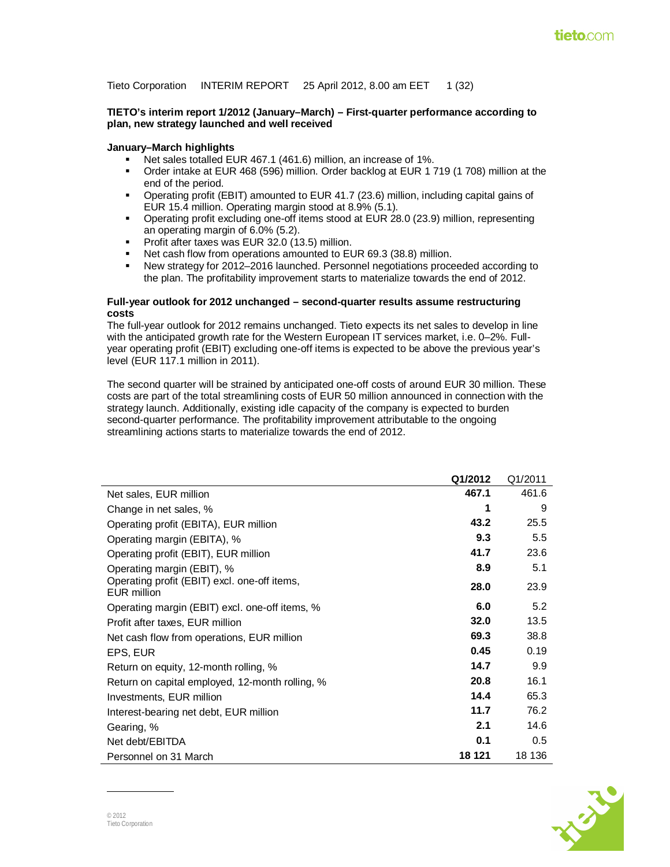Tieto Corporation INTERIM REPORT 25 April 2012, 8.00 am EET 1 (32)

#### **TIETO's interim report 1/2012 (January–March) – First-quarter performance according to plan, new strategy launched and well received**

#### **January–March highlights**

- Net sales totalled EUR 467.1 (461.6) million, an increase of 1%.
- Order intake at EUR 468 (596) million. Order backlog at EUR 1 719 (1 708) million at the end of the period.
- Operating profit (EBIT) amounted to EUR 41.7 (23.6) million, including capital gains of EUR 15.4 million. Operating margin stood at 8.9% (5.1).
- Operating profit excluding one-off items stood at EUR 28.0 (23.9) million, representing an operating margin of 6.0% (5.2).
- **Profit after taxes was EUR 32.0 (13.5) million.**
- Net cash flow from operations amounted to EUR 69.3 (38.8) million.
- New strategy for 2012–2016 launched. Personnel negotiations proceeded according to the plan. The profitability improvement starts to materialize towards the end of 2012.

#### **Full-year outlook for 2012 unchanged – second-quarter results assume restructuring costs**

The full-year outlook for 2012 remains unchanged. Tieto expects its net sales to develop in line with the anticipated growth rate for the Western European IT services market, i.e. 0–2%. Fullyear operating profit (EBIT) excluding one-off items is expected to be above the previous year's level (EUR 117.1 million in 2011).

The second quarter will be strained by anticipated one-off costs of around EUR 30 million. These costs are part of the total streamlining costs of EUR 50 million announced in connection with the strategy launch. Additionally, existing idle capacity of the company is expected to burden second-quarter performance. The profitability improvement attributable to the ongoing streamlining actions starts to materialize towards the end of 2012.

|                                                             | Q1/2012 | Q1/2011 |
|-------------------------------------------------------------|---------|---------|
| Net sales, EUR million                                      | 467.1   | 461.6   |
| Change in net sales, %                                      | 1       | 9       |
| Operating profit (EBITA), EUR million                       | 43.2    | 25.5    |
| Operating margin (EBITA), %                                 | 9.3     | 5.5     |
| Operating profit (EBIT), EUR million                        | 41.7    | 23.6    |
| Operating margin (EBIT), %                                  | 8.9     | 5.1     |
| Operating profit (EBIT) excl. one-off items,<br>EUR million | 28.0    | 23.9    |
| Operating margin (EBIT) excl. one-off items, %              | 6.0     | 5.2     |
| Profit after taxes, EUR million                             | 32.0    | 13.5    |
| Net cash flow from operations, EUR million                  | 69.3    | 38.8    |
| EPS, EUR                                                    | 0.45    | 0.19    |
| Return on equity, 12-month rolling, %                       | 14.7    | 9.9     |
| Return on capital employed, 12-month rolling, %             | 20.8    | 16.1    |
| Investments, EUR million                                    | 14.4    | 65.3    |
| Interest-bearing net debt, EUR million                      | 11.7    | 76.2    |
| Gearing, %                                                  | 2.1     | 14.6    |
| Net debt/EBITDA                                             | 0.1     | 0.5     |
| Personnel on 31 March                                       | 18 121  | 18 136  |

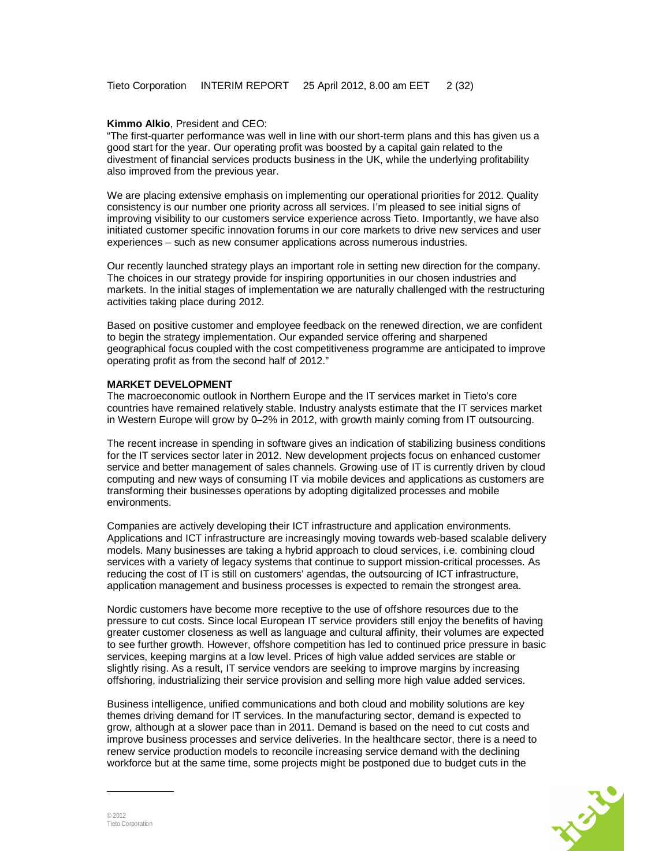#### **Kimmo Alkio**, President and CEO:

"The first-quarter performance was well in line with our short-term plans and this has given us a good start for the year. Our operating profit was boosted by a capital gain related to the divestment of financial services products business in the UK, while the underlying profitability also improved from the previous year.

We are placing extensive emphasis on implementing our operational priorities for 2012. Quality consistency is our number one priority across all services. I'm pleased to see initial signs of improving visibility to our customers service experience across Tieto. Importantly, we have also initiated customer specific innovation forums in our core markets to drive new services and user experiences – such as new consumer applications across numerous industries.

Our recently launched strategy plays an important role in setting new direction for the company. The choices in our strategy provide for inspiring opportunities in our chosen industries and markets. In the initial stages of implementation we are naturally challenged with the restructuring activities taking place during 2012.

Based on positive customer and employee feedback on the renewed direction, we are confident to begin the strategy implementation. Our expanded service offering and sharpened geographical focus coupled with the cost competitiveness programme are anticipated to improve operating profit as from the second half of 2012."

#### **MARKET DEVELOPMENT**

The macroeconomic outlook in Northern Europe and the IT services market in Tieto's core countries have remained relatively stable. Industry analysts estimate that the IT services market in Western Europe will grow by 0–2% in 2012, with growth mainly coming from IT outsourcing.

The recent increase in spending in software gives an indication of stabilizing business conditions for the IT services sector later in 2012. New development projects focus on enhanced customer service and better management of sales channels. Growing use of IT is currently driven by cloud computing and new ways of consuming IT via mobile devices and applications as customers are transforming their businesses operations by adopting digitalized processes and mobile environments.

Companies are actively developing their ICT infrastructure and application environments. Applications and ICT infrastructure are increasingly moving towards web-based scalable delivery models. Many businesses are taking a hybrid approach to cloud services, i.e. combining cloud services with a variety of legacy systems that continue to support mission-critical processes. As reducing the cost of IT is still on customers' agendas, the outsourcing of ICT infrastructure, application management and business processes is expected to remain the strongest area.

Nordic customers have become more receptive to the use of offshore resources due to the pressure to cut costs. Since local European IT service providers still enjoy the benefits of having greater customer closeness as well as language and cultural affinity, their volumes are expected to see further growth. However, offshore competition has led to continued price pressure in basic services, keeping margins at a low level. Prices of high value added services are stable or slightly rising. As a result, IT service vendors are seeking to improve margins by increasing offshoring, industrializing their service provision and selling more high value added services.

Business intelligence, unified communications and both cloud and mobility solutions are key themes driving demand for IT services. In the manufacturing sector, demand is expected to grow, although at a slower pace than in 2011. Demand is based on the need to cut costs and improve business processes and service deliveries. In the healthcare sector, there is a need to renew service production models to reconcile increasing service demand with the declining workforce but at the same time, some projects might be postponed due to budget cuts in the

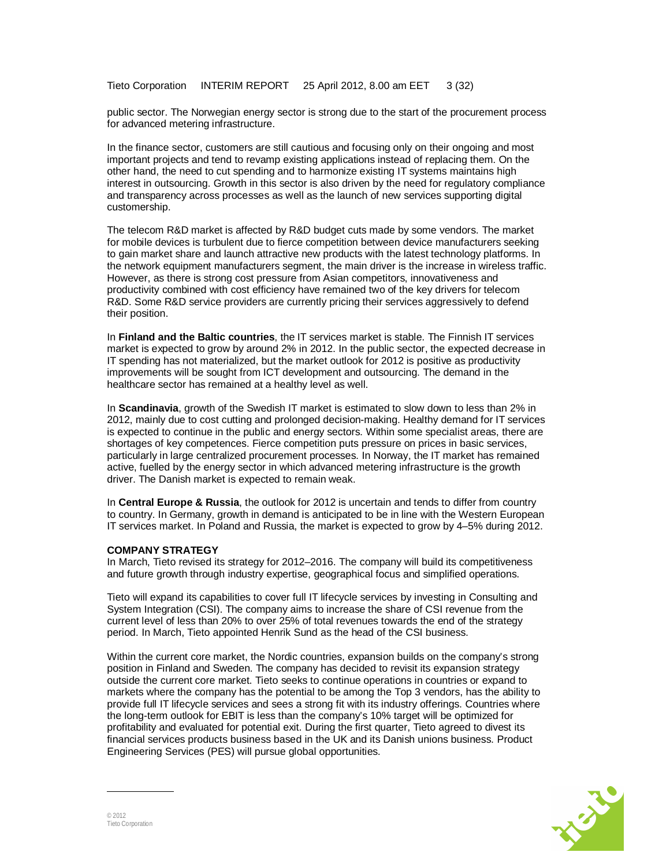Tieto Corporation INTERIM REPORT 25 April 2012, 8.00 am EET 3 (32)

public sector. The Norwegian energy sector is strong due to the start of the procurement process for advanced metering infrastructure.

In the finance sector, customers are still cautious and focusing only on their ongoing and most important projects and tend to revamp existing applications instead of replacing them. On the other hand, the need to cut spending and to harmonize existing IT systems maintains high interest in outsourcing. Growth in this sector is also driven by the need for regulatory compliance and transparency across processes as well as the launch of new services supporting digital customership.

The telecom R&D market is affected by R&D budget cuts made by some vendors. The market for mobile devices is turbulent due to fierce competition between device manufacturers seeking to gain market share and launch attractive new products with the latest technology platforms. In the network equipment manufacturers segment, the main driver is the increase in wireless traffic. However, as there is strong cost pressure from Asian competitors, innovativeness and productivity combined with cost efficiency have remained two of the key drivers for telecom R&D. Some R&D service providers are currently pricing their services aggressively to defend their position.

In **Finland and the Baltic countries**, the IT services market is stable. The Finnish IT services market is expected to grow by around 2% in 2012. In the public sector, the expected decrease in IT spending has not materialized, but the market outlook for 2012 is positive as productivity improvements will be sought from ICT development and outsourcing. The demand in the healthcare sector has remained at a healthy level as well.

In **Scandinavia**, growth of the Swedish IT market is estimated to slow down to less than 2% in 2012, mainly due to cost cutting and prolonged decision-making. Healthy demand for IT services is expected to continue in the public and energy sectors. Within some specialist areas, there are shortages of key competences. Fierce competition puts pressure on prices in basic services, particularly in large centralized procurement processes. In Norway, the IT market has remained active, fuelled by the energy sector in which advanced metering infrastructure is the growth driver. The Danish market is expected to remain weak.

In **Central Europe & Russia**, the outlook for 2012 is uncertain and tends to differ from country to country. In Germany, growth in demand is anticipated to be in line with the Western European IT services market. In Poland and Russia, the market is expected to grow by 4–5% during 2012.

#### **COMPANY STRATEGY**

In March, Tieto revised its strategy for 2012–2016. The company will build its competitiveness and future growth through industry expertise, geographical focus and simplified operations.

Tieto will expand its capabilities to cover full IT lifecycle services by investing in Consulting and System Integration (CSI). The company aims to increase the share of CSI revenue from the current level of less than 20% to over 25% of total revenues towards the end of the strategy period. In March, Tieto appointed Henrik Sund as the head of the CSI business.

Within the current core market, the Nordic countries, expansion builds on the company's strong position in Finland and Sweden. The company has decided to revisit its expansion strategy outside the current core market. Tieto seeks to continue operations in countries or expand to markets where the company has the potential to be among the Top 3 vendors, has the ability to provide full IT lifecycle services and sees a strong fit with its industry offerings. Countries where the long-term outlook for EBIT is less than the company's 10% target will be optimized for profitability and evaluated for potential exit. During the first quarter, Tieto agreed to divest its financial services products business based in the UK and its Danish unions business. Product Engineering Services (PES) will pursue global opportunities.

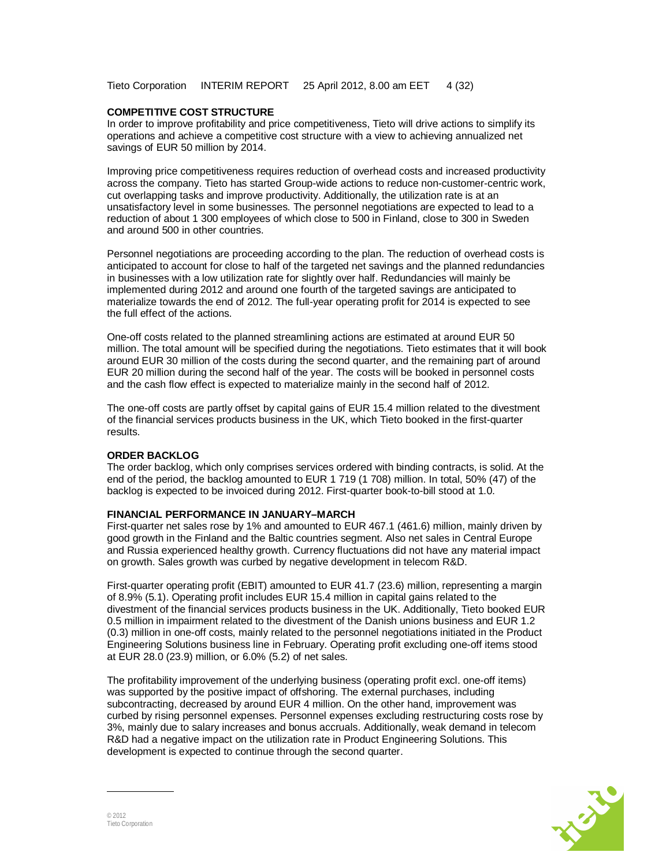Tieto Corporation INTERIM REPORT 25 April 2012, 8.00 am EET 4 (32)

#### **COMPETITIVE COST STRUCTURE**

In order to improve profitability and price competitiveness, Tieto will drive actions to simplify its operations and achieve a competitive cost structure with a view to achieving annualized net savings of EUR 50 million by 2014.

Improving price competitiveness requires reduction of overhead costs and increased productivity across the company. Tieto has started Group-wide actions to reduce non-customer-centric work, cut overlapping tasks and improve productivity. Additionally, the utilization rate is at an unsatisfactory level in some businesses. The personnel negotiations are expected to lead to a reduction of about 1 300 employees of which close to 500 in Finland, close to 300 in Sweden and around 500 in other countries.

Personnel negotiations are proceeding according to the plan. The reduction of overhead costs is anticipated to account for close to half of the targeted net savings and the planned redundancies in businesses with a low utilization rate for slightly over half. Redundancies will mainly be implemented during 2012 and around one fourth of the targeted savings are anticipated to materialize towards the end of 2012. The full-year operating profit for 2014 is expected to see the full effect of the actions.

One-off costs related to the planned streamlining actions are estimated at around EUR 50 million. The total amount will be specified during the negotiations. Tieto estimates that it will book around EUR 30 million of the costs during the second quarter, and the remaining part of around EUR 20 million during the second half of the year. The costs will be booked in personnel costs and the cash flow effect is expected to materialize mainly in the second half of 2012.

The one-off costs are partly offset by capital gains of EUR 15.4 million related to the divestment of the financial services products business in the UK, which Tieto booked in the first-quarter results.

#### **ORDER BACKLOG**

The order backlog, which only comprises services ordered with binding contracts, is solid. At the end of the period, the backlog amounted to EUR 1 719 (1 708) million. In total, 50% (47) of the backlog is expected to be invoiced during 2012. First-quarter book-to-bill stood at 1.0.

#### **FINANCIAL PERFORMANCE IN JANUARY–MARCH**

First-quarter net sales rose by 1% and amounted to EUR 467.1 (461.6) million, mainly driven by good growth in the Finland and the Baltic countries segment. Also net sales in Central Europe and Russia experienced healthy growth. Currency fluctuations did not have any material impact on growth. Sales growth was curbed by negative development in telecom R&D.

First-quarter operating profit (EBIT) amounted to EUR 41.7 (23.6) million, representing a margin of 8.9% (5.1). Operating profit includes EUR 15.4 million in capital gains related to the divestment of the financial services products business in the UK. Additionally, Tieto booked EUR 0.5 million in impairment related to the divestment of the Danish unions business and EUR 1.2 (0.3) million in one-off costs, mainly related to the personnel negotiations initiated in the Product Engineering Solutions business line in February. Operating profit excluding one-off items stood at EUR 28.0 (23.9) million, or 6.0% (5.2) of net sales.

The profitability improvement of the underlying business (operating profit excl. one-off items) was supported by the positive impact of offshoring. The external purchases, including subcontracting, decreased by around EUR 4 million. On the other hand, improvement was curbed by rising personnel expenses. Personnel expenses excluding restructuring costs rose by 3%, mainly due to salary increases and bonus accruals. Additionally, weak demand in telecom R&D had a negative impact on the utilization rate in Product Engineering Solutions. This development is expected to continue through the second quarter.

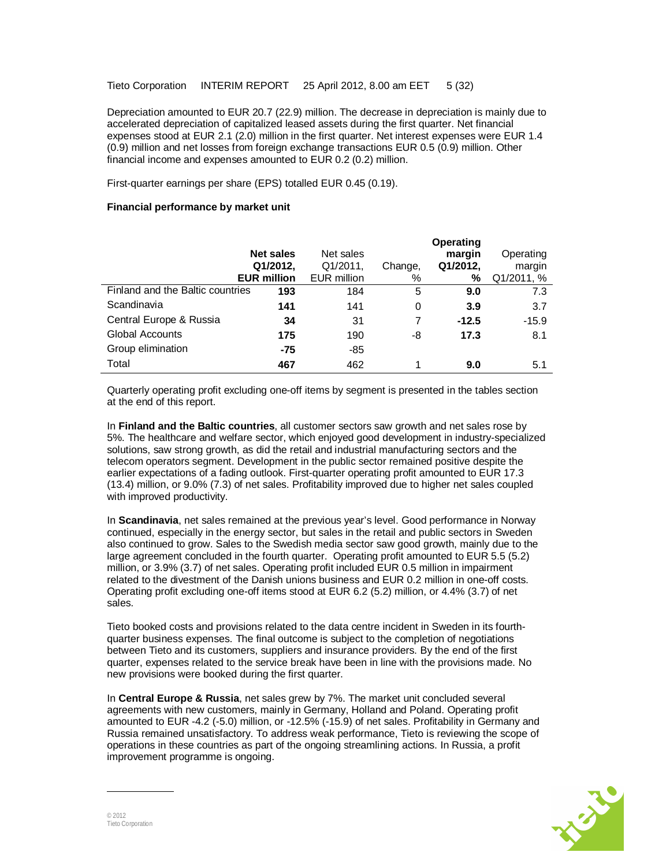Depreciation amounted to EUR 20.7 (22.9) million. The decrease in depreciation is mainly due to accelerated depreciation of capitalized leased assets during the first quarter. Net financial expenses stood at EUR 2.1 (2.0) million in the first quarter. Net interest expenses were EUR 1.4 (0.9) million and net losses from foreign exchange transactions EUR 0.5 (0.9) million. Other financial income and expenses amounted to EUR 0.2 (0.2) million.

First-quarter earnings per share (EPS) totalled EUR 0.45 (0.19).

### **Financial performance by market unit**

|                                  | <b>Net sales</b><br>Q1/2012,<br><b>EUR million</b> | Net sales<br>Q1/2011,<br><b>EUR million</b> | Change,<br>% | Operating<br>margin<br>Q1/2012,<br>% | Operating<br>margin<br>Q1/2011, % |
|----------------------------------|----------------------------------------------------|---------------------------------------------|--------------|--------------------------------------|-----------------------------------|
| Finland and the Baltic countries | 193                                                | 184                                         | 5            | 9.0                                  | 7.3                               |
| Scandinavia                      | 141                                                | 141                                         | 0            | 3.9                                  | 3.7                               |
| Central Europe & Russia          | 34                                                 | 31                                          |              | $-12.5$                              | $-15.9$                           |
| <b>Global Accounts</b>           | 175                                                | 190                                         | -8           | 17.3                                 | 8.1                               |
| Group elimination                | -75                                                | $-85$                                       |              |                                      |                                   |
| Total                            | 467                                                | 462                                         | 1            | 9.0                                  | 5.1                               |

Quarterly operating profit excluding one-off items by segment is presented in the tables section at the end of this report.

In **Finland and the Baltic countries**, all customer sectors saw growth and net sales rose by 5%. The healthcare and welfare sector, which enjoyed good development in industry-specialized solutions, saw strong growth, as did the retail and industrial manufacturing sectors and the telecom operators segment. Development in the public sector remained positive despite the earlier expectations of a fading outlook. First-quarter operating profit amounted to EUR 17.3 (13.4) million, or 9.0% (7.3) of net sales. Profitability improved due to higher net sales coupled with improved productivity.

In **Scandinavia**, net sales remained at the previous year's level. Good performance in Norway continued, especially in the energy sector, but sales in the retail and public sectors in Sweden also continued to grow. Sales to the Swedish media sector saw good growth, mainly due to the large agreement concluded in the fourth quarter. Operating profit amounted to EUR 5.5 (5.2) million, or 3.9% (3.7) of net sales. Operating profit included EUR 0.5 million in impairment related to the divestment of the Danish unions business and EUR 0.2 million in one-off costs. Operating profit excluding one-off items stood at EUR 6.2 (5.2) million, or 4.4% (3.7) of net sales.

Tieto booked costs and provisions related to the data centre incident in Sweden in its fourthquarter business expenses. The final outcome is subject to the completion of negotiations between Tieto and its customers, suppliers and insurance providers. By the end of the first quarter, expenses related to the service break have been in line with the provisions made. No new provisions were booked during the first quarter.

In **Central Europe & Russia**, net sales grew by 7%. The market unit concluded several agreements with new customers, mainly in Germany, Holland and Poland. Operating profit amounted to EUR -4.2 (-5.0) million, or -12.5% (-15.9) of net sales. Profitability in Germany and Russia remained unsatisfactory. To address weak performance, Tieto is reviewing the scope of operations in these countries as part of the ongoing streamlining actions. In Russia, a profit improvement programme is ongoing.

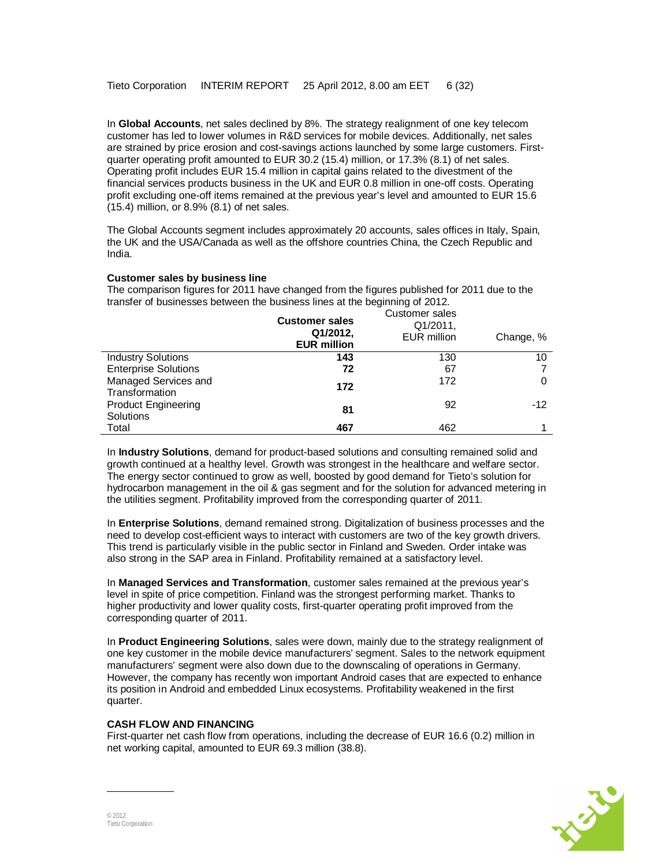In **Global Accounts**, net sales declined by 8%. The strategy realignment of one key telecom customer has led to lower volumes in R&D services for mobile devices. Additionally, net sales are strained by price erosion and cost-savings actions launched by some large customers. Firstquarter operating profit amounted to EUR 30.2 (15.4) million, or 17.3% (8.1) of net sales. Operating profit includes EUR 15.4 million in capital gains related to the divestment of the financial services products business in the UK and EUR 0.8 million in one-off costs. Operating profit excluding one-off items remained at the previous year's level and amounted to EUR 15.6 (15.4) million, or 8.9% (8.1) of net sales.

The Global Accounts segment includes approximately 20 accounts, sales offices in Italy, Spain, the UK and the USA/Canada as well as the offshore countries China, the Czech Republic and India.

### **Customer sales by business line**

| transier of businesses between the business imes at the beginning of ZOTZ. | <b>Customer sales</b><br>Q1/2012,<br><b>EUR million</b> | Customer sales<br>Q1/2011,<br>EUR million | Change, % |
|----------------------------------------------------------------------------|---------------------------------------------------------|-------------------------------------------|-----------|
| <b>Industry Solutions</b>                                                  | 143                                                     | 130                                       | 10        |
| <b>Enterprise Solutions</b>                                                | 72                                                      | 67                                        |           |
| Managed Services and<br>Transformation                                     | 172                                                     | 172                                       |           |
| <b>Product Engineering</b><br>Solutions                                    | 81                                                      | 92                                        | $-12$     |
| Total                                                                      | 467                                                     | 462                                       |           |

The comparison figures for 2011 have changed from the figures published for 2011 due to the transfer of businesses between the business lines at the beginning of 2012.

In **Industry Solutions**, demand for product-based solutions and consulting remained solid and growth continued at a healthy level. Growth was strongest in the healthcare and welfare sector. The energy sector continued to grow as well, boosted by good demand for Tieto's solution for hydrocarbon management in the oil & gas segment and for the solution for advanced metering in the utilities segment. Profitability improved from the corresponding quarter of 2011.

In **Enterprise Solutions**, demand remained strong. Digitalization of business processes and the need to develop cost-efficient ways to interact with customers are two of the key growth drivers. This trend is particularly visible in the public sector in Finland and Sweden. Order intake was also strong in the SAP area in Finland. Profitability remained at a satisfactory level.

In **Managed Services and Transformation**, customer sales remained at the previous year's level in spite of price competition. Finland was the strongest performing market. Thanks to higher productivity and lower quality costs, first-quarter operating profit improved from the corresponding quarter of 2011.

In **Product Engineering Solutions**, sales were down, mainly due to the strategy realignment of one key customer in the mobile device manufacturers' segment. Sales to the network equipment manufacturers' segment were also down due to the downscaling of operations in Germany. However, the company has recently won important Android cases that are expected to enhance its position in Android and embedded Linux ecosystems. Profitability weakened in the first quarter.

### **CASH FLOW AND FINANCING**

First-quarter net cash flow from operations, including the decrease of EUR 16.6 (0.2) million in net working capital, amounted to EUR 69.3 million (38.8).

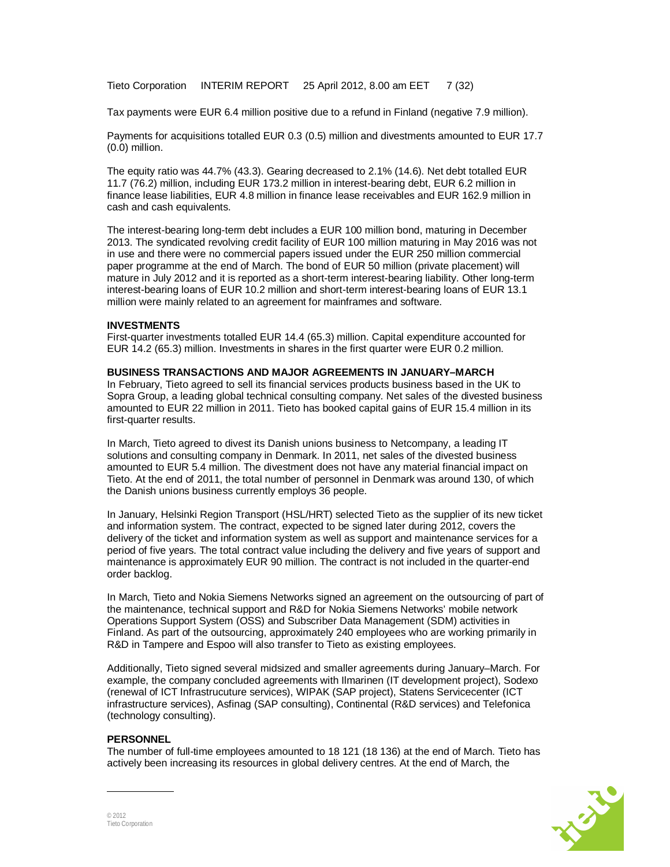Tieto Corporation INTERIM REPORT 25 April 2012, 8.00 am EET 7 (32)

Tax payments were EUR 6.4 million positive due to a refund in Finland (negative 7.9 million).

Payments for acquisitions totalled EUR 0.3 (0.5) million and divestments amounted to EUR 17.7 (0.0) million.

The equity ratio was 44.7% (43.3). Gearing decreased to 2.1% (14.6). Net debt totalled EUR 11.7 (76.2) million, including EUR 173.2 million in interest-bearing debt, EUR 6.2 million in finance lease liabilities, EUR 4.8 million in finance lease receivables and EUR 162.9 million in cash and cash equivalents.

The interest-bearing long-term debt includes a EUR 100 million bond, maturing in December 2013. The syndicated revolving credit facility of EUR 100 million maturing in May 2016 was not in use and there were no commercial papers issued under the EUR 250 million commercial paper programme at the end of March. The bond of EUR 50 million (private placement) will mature in July 2012 and it is reported as a short-term interest-bearing liability. Other long-term interest-bearing loans of EUR 10.2 million and short-term interest-bearing loans of EUR 13.1 million were mainly related to an agreement for mainframes and software.

#### **INVESTMENTS**

First-quarter investments totalled EUR 14.4 (65.3) million. Capital expenditure accounted for EUR 14.2 (65.3) million. Investments in shares in the first quarter were EUR 0.2 million.

#### **BUSINESS TRANSACTIONS AND MAJOR AGREEMENTS IN JANUARY–MARCH**

In February, Tieto agreed to sell its financial services products business based in the UK to Sopra Group, a leading global technical consulting company. Net sales of the divested business amounted to EUR 22 million in 2011. Tieto has booked capital gains of EUR 15.4 million in its first-quarter results.

In March, Tieto agreed to divest its Danish unions business to Netcompany, a leading IT solutions and consulting company in Denmark. In 2011, net sales of the divested business amounted to EUR 5.4 million. The divestment does not have any material financial impact on Tieto. At the end of 2011, the total number of personnel in Denmark was around 130, of which the Danish unions business currently employs 36 people.

In January, Helsinki Region Transport (HSL/HRT) selected Tieto as the supplier of its new ticket and information system. The contract, expected to be signed later during 2012, covers the delivery of the ticket and information system as well as support and maintenance services for a period of five years. The total contract value including the delivery and five years of support and maintenance is approximately EUR 90 million. The contract is not included in the quarter-end order backlog.

In March, Tieto and Nokia Siemens Networks signed an agreement on the outsourcing of part of the maintenance, technical support and R&D for Nokia Siemens Networks' mobile network Operations Support System (OSS) and Subscriber Data Management (SDM) activities in Finland. As part of the outsourcing, approximately 240 employees who are working primarily in R&D in Tampere and Espoo will also transfer to Tieto as existing employees.

Additionally, Tieto signed several midsized and smaller agreements during January–March. For example, the company concluded agreements with Ilmarinen (IT development project), Sodexo (renewal of ICT Infrastrucuture services), WIPAK (SAP project), Statens Servicecenter (ICT infrastructure services), Asfinag (SAP consulting), Continental (R&D services) and Telefonica (technology consulting).

#### **PERSONNEL**

The number of full-time employees amounted to 18 121 (18 136) at the end of March. Tieto has actively been increasing its resources in global delivery centres. At the end of March, the

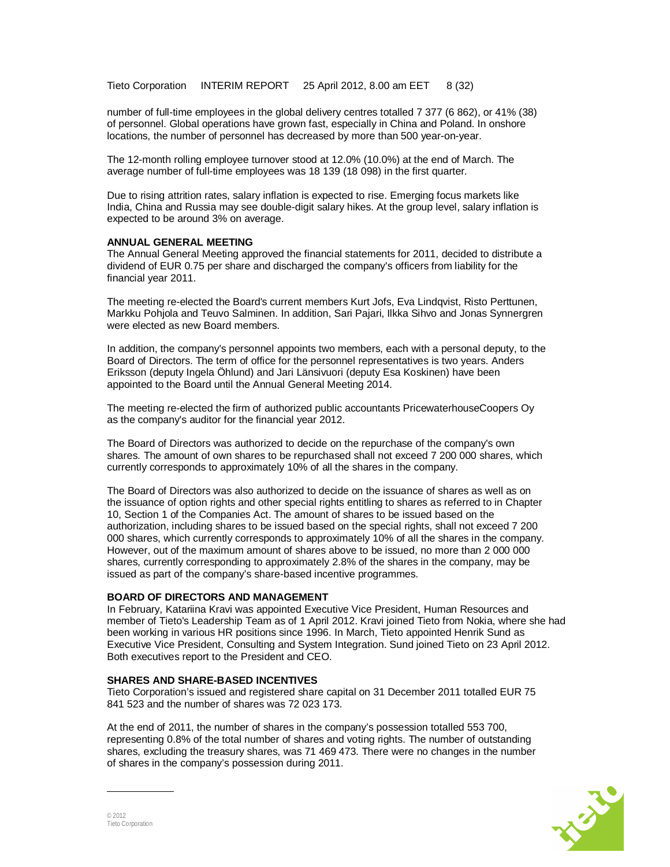Tieto Corporation INTERIM REPORT 25 April 2012, 8.00 am EET 8 (32)

number of full-time employees in the global delivery centres totalled 7 377 (6 862), or 41% (38) of personnel. Global operations have grown fast, especially in China and Poland. In onshore locations, the number of personnel has decreased by more than 500 year-on-year.

The 12-month rolling employee turnover stood at 12.0% (10.0%) at the end of March. The average number of full-time employees was 18 139 (18 098) in the first quarter.

Due to rising attrition rates, salary inflation is expected to rise. Emerging focus markets like India, China and Russia may see double-digit salary hikes. At the group level, salary inflation is expected to be around 3% on average.

#### **ANNUAL GENERAL MEETING**

The Annual General Meeting approved the financial statements for 2011, decided to distribute a dividend of EUR 0.75 per share and discharged the company's officers from liability for the financial year 2011.

The meeting re-elected the Board's current members Kurt Jofs, Eva Lindqvist, Risto Perttunen, Markku Pohjola and Teuvo Salminen. In addition, Sari Pajari, Ilkka Sihvo and Jonas Synnergren were elected as new Board members.

In addition, the company's personnel appoints two members, each with a personal deputy, to the Board of Directors. The term of office for the personnel representatives is two years. Anders Eriksson (deputy Ingela Öhlund) and Jari Länsivuori (deputy Esa Koskinen) have been appointed to the Board until the Annual General Meeting 2014.

The meeting re-elected the firm of authorized public accountants PricewaterhouseCoopers Oy as the company's auditor for the financial year 2012.

The Board of Directors was authorized to decide on the repurchase of the company's own shares. The amount of own shares to be repurchased shall not exceed 7 200 000 shares, which currently corresponds to approximately 10% of all the shares in the company.

The Board of Directors was also authorized to decide on the issuance of shares as well as on the issuance of option rights and other special rights entitling to shares as referred to in Chapter 10, Section 1 of the Companies Act. The amount of shares to be issued based on the authorization, including shares to be issued based on the special rights, shall not exceed 7 200 000 shares, which currently corresponds to approximately 10% of all the shares in the company. However, out of the maximum amount of shares above to be issued, no more than 2 000 000 shares, currently corresponding to approximately 2.8% of the shares in the company, may be issued as part of the company's share-based incentive programmes.

#### **BOARD OF DIRECTORS AND MANAGEMENT**

In February, Katariina Kravi was appointed Executive Vice President, Human Resources and member of Tieto's Leadership Team as of 1 April 2012. Kravi joined Tieto from Nokia, where she had been working in various HR positions since 1996. In March, Tieto appointed Henrik Sund as Executive Vice President, Consulting and System Integration. Sund joined Tieto on 23 April 2012. Both executives report to the President and CEO.

#### **SHARES AND SHARE-BASED INCENTIVES**

Tieto Corporation's issued and registered share capital on 31 December 2011 totalled EUR 75 841 523 and the number of shares was 72 023 173.

At the end of 2011, the number of shares in the company's possession totalled 553 700, representing 0.8% of the total number of shares and voting rights. The number of outstanding shares, excluding the treasury shares, was 71 469 473. There were no changes in the number of shares in the company's possession during 2011.

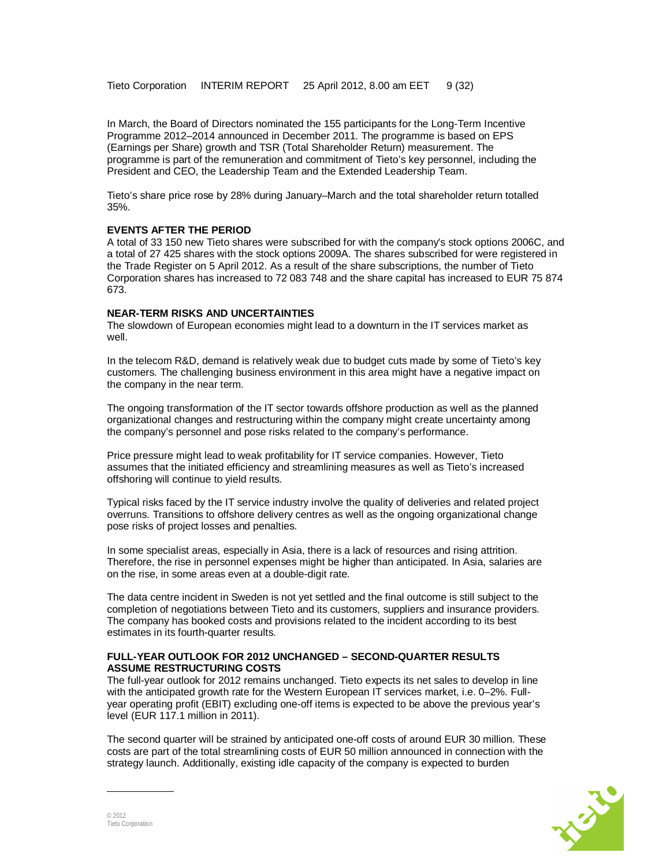Tieto Corporation INTERIM REPORT 25 April 2012, 8.00 am EET 9 (32)

In March, the Board of Directors nominated the 155 participants for the Long-Term Incentive Programme 2012–2014 announced in December 2011. The programme is based on EPS (Earnings per Share) growth and TSR (Total Shareholder Return) measurement. The programme is part of the remuneration and commitment of Tieto's key personnel, including the President and CEO, the Leadership Team and the Extended Leadership Team.

Tieto's share price rose by 28% during January–March and the total shareholder return totalled 35%.

#### **EVENTS AFTER THE PERIOD**

A total of 33 150 new Tieto shares were subscribed for with the company's stock options 2006C, and a total of 27 425 shares with the stock options 2009A. The shares subscribed for were registered in the Trade Register on 5 April 2012. As a result of the share subscriptions, the number of Tieto Corporation shares has increased to 72 083 748 and the share capital has increased to EUR 75 874 673.

#### **NEAR-TERM RISKS AND UNCERTAINTIES**

The slowdown of European economies might lead to a downturn in the IT services market as well.

In the telecom R&D, demand is relatively weak due to budget cuts made by some of Tieto's key customers. The challenging business environment in this area might have a negative impact on the company in the near term.

The ongoing transformation of the IT sector towards offshore production as well as the planned organizational changes and restructuring within the company might create uncertainty among the company's personnel and pose risks related to the company's performance.

Price pressure might lead to weak profitability for IT service companies. However, Tieto assumes that the initiated efficiency and streamlining measures as well as Tieto's increased offshoring will continue to yield results.

Typical risks faced by the IT service industry involve the quality of deliveries and related project overruns. Transitions to offshore delivery centres as well as the ongoing organizational change pose risks of project losses and penalties.

In some specialist areas, especially in Asia, there is a lack of resources and rising attrition. Therefore, the rise in personnel expenses might be higher than anticipated. In Asia, salaries are on the rise, in some areas even at a double-digit rate.

The data centre incident in Sweden is not yet settled and the final outcome is still subject to the completion of negotiations between Tieto and its customers, suppliers and insurance providers. The company has booked costs and provisions related to the incident according to its best estimates in its fourth-quarter results.

#### **FULL-YEAR OUTLOOK FOR 2012 UNCHANGED – SECOND-QUARTER RESULTS ASSUME RESTRUCTURING COSTS**

The full-year outlook for 2012 remains unchanged. Tieto expects its net sales to develop in line with the anticipated growth rate for the Western European IT services market, i.e. 0–2%. Fullyear operating profit (EBIT) excluding one-off items is expected to be above the previous year's level (EUR 117.1 million in 2011).

The second quarter will be strained by anticipated one-off costs of around EUR 30 million. These costs are part of the total streamlining costs of EUR 50 million announced in connection with the strategy launch. Additionally, existing idle capacity of the company is expected to burden

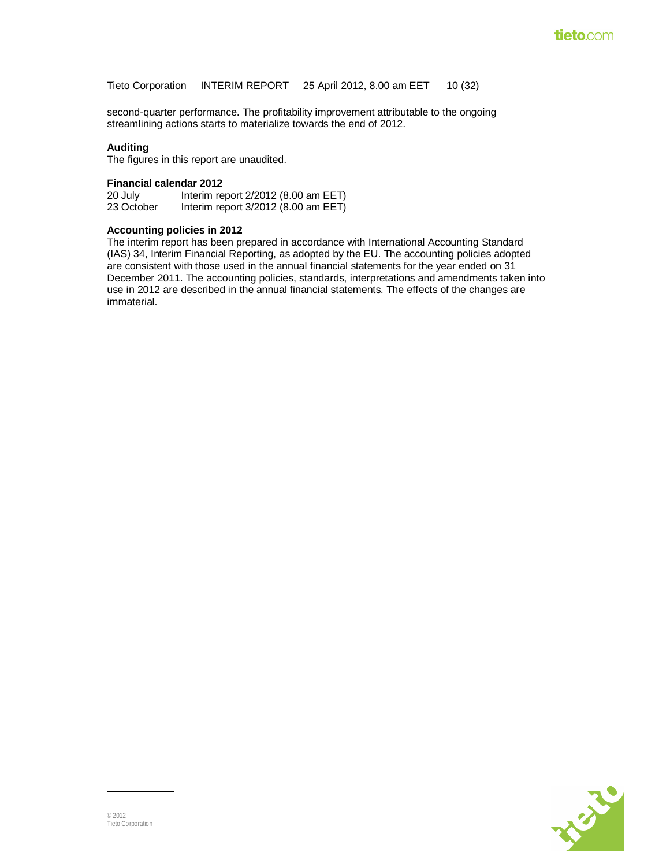Tieto Corporation INTERIM REPORT 25 April 2012, 8.00 am EET 10 (32)

second-quarter performance. The profitability improvement attributable to the ongoing streamlining actions starts to materialize towards the end of 2012.

#### **Auditing**

The figures in this report are unaudited.

# **Financial calendar 2012**

20 July Interim report 2/2012 (8.00 am EET)<br>23 October Interim report 3/2012 (8.00 am EET) Interim report  $3/2012$  (8.00 am EET)

#### **Accounting policies in 2012**

The interim report has been prepared in accordance with International Accounting Standard (IAS) 34, Interim Financial Reporting, as adopted by the EU. The accounting policies adopted are consistent with those used in the annual financial statements for the year ended on 31 December 2011. The accounting policies, standards, interpretations and amendments taken into use in 2012 are described in the annual financial statements. The effects of the changes are immaterial.

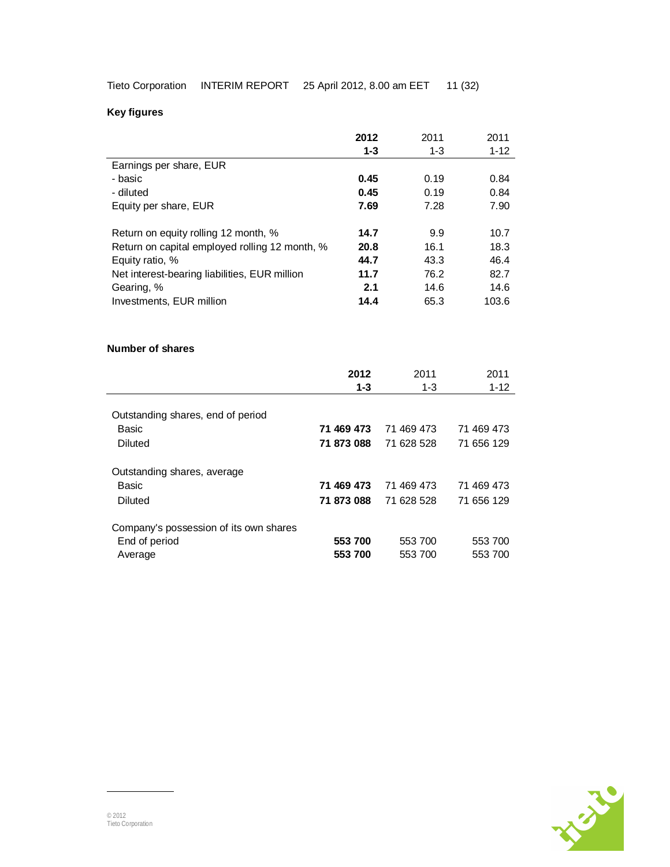**Key figures** 

|                                                | 2012            | 2011            | 2011             |
|------------------------------------------------|-----------------|-----------------|------------------|
|                                                | $1 - 3$         | $1 - 3$         | $1 - 12$         |
| Earnings per share, EUR                        |                 |                 |                  |
| - basic                                        | 0.45            | 0.19            | 0.84             |
| - diluted                                      | 0.45            | 0.19            | 0.84             |
| Equity per share, EUR                          | 7.69            | 7.28            | 7.90             |
| Return on equity rolling 12 month, %           | 14.7            | 9.9             | 10.7             |
| Return on capital employed rolling 12 month, % | 20.8            | 16.1            | 18.3             |
| Equity ratio, %                                | 44.7            | 43.3            | 46.4             |
| Net interest-bearing liabilities, EUR million  | 11.7            | 76.2            | 82.7             |
| Gearing, %                                     | 2.1             | 14.6            | 14.6             |
| Investments, EUR million                       | 14.4            | 65.3            | 103.6            |
| Number of shares                               | 2012<br>$1 - 3$ | 2011<br>$1 - 3$ | 2011<br>$1 - 12$ |
| Outstanding shares, end of period              |                 |                 |                  |
| Basic                                          | 71 469 473      | 71 469 473      | 71 469 473       |
| <b>Diluted</b>                                 | 71 873 088      | 71 628 528      | 71 656 129       |
|                                                |                 |                 |                  |
| Outstanding shares, average                    |                 |                 |                  |
| <b>Basic</b>                                   | 71 469 473      | 71 469 473      | 71 469 473       |
| <b>Diluted</b>                                 | 71 873 088      | 71 628 528      | 71 656 129       |
| Company's possession of its own shares         |                 |                 |                  |
| End of period                                  | 553 700         | 553 700         | 553 700          |
| Average                                        | 553 700         | 553 700         | 553 700          |

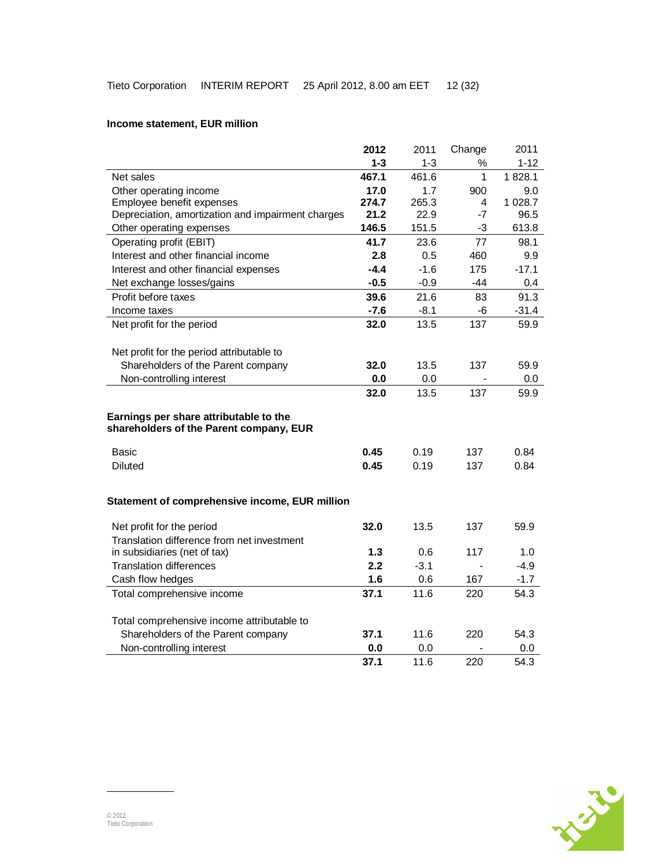## **Income statement, EUR million**

|                                                                                   | 2012   | 2011    | Change | 2011     |
|-----------------------------------------------------------------------------------|--------|---------|--------|----------|
|                                                                                   | 1-3    | $1 - 3$ | ℅      | $1 - 12$ |
| Net sales                                                                         | 467.1  | 461.6   | 1      | 1828.1   |
| Other operating income                                                            | 17.0   | 1.7     | 900    | 9.0      |
| Employee benefit expenses                                                         | 274.7  | 265.3   | 4      | 1 028.7  |
| Depreciation, amortization and impairment charges                                 | 21.2   | 22.9    | $-7$   | 96.5     |
| Other operating expenses                                                          | 146.5  | 151.5   | $-3$   | 613.8    |
| Operating profit (EBIT)                                                           | 41.7   | 23.6    | 77     | 98.1     |
| Interest and other financial income                                               | 2.8    | 0.5     | 460    | 9.9      |
| Interest and other financial expenses                                             | $-4.4$ | $-1.6$  | 175    | $-17.1$  |
| Net exchange losses/gains                                                         | $-0.5$ | $-0.9$  | -44    | 0.4      |
| Profit before taxes                                                               | 39.6   | 21.6    | 83     | 91.3     |
| Income taxes                                                                      | $-7.6$ | $-8.1$  | -6     | $-31.4$  |
| Net profit for the period                                                         | 32.0   | 13.5    | 137    | 59.9     |
|                                                                                   |        |         |        |          |
| Net profit for the period attributable to                                         |        |         |        |          |
| Shareholders of the Parent company                                                | 32.0   | 13.5    | 137    | 59.9     |
| Non-controlling interest                                                          | 0.0    | 0.0     |        | 0.0      |
|                                                                                   | 32.0   | 13.5    | 137    | 59.9     |
| Earnings per share attributable to the<br>shareholders of the Parent company, EUR |        |         |        |          |
| Basic                                                                             | 0.45   | 0.19    | 137    | 0.84     |
| <b>Diluted</b>                                                                    | 0.45   | 0.19    | 137    | 0.84     |
| Statement of comprehensive income, EUR million                                    |        |         |        |          |
| Net profit for the period                                                         | 32.0   | 13.5    | 137    | 59.9     |
| Translation difference from net investment                                        |        |         |        |          |
| in subsidiaries (net of tax)                                                      | 1.3    | 0.6     | 117    | 1.0      |
| <b>Translation differences</b>                                                    | 2.2    | $-3.1$  |        | $-4.9$   |
| Cash flow hedges                                                                  | 1.6    | 0.6     | 167    | $-1.7$   |
| Total comprehensive income                                                        | 37.1   | 11.6    | 220    | 54.3     |
| Total comprehensive income attributable to                                        |        |         |        |          |
| Shareholders of the Parent company                                                | 37.1   | 11.6    | 220    | 54.3     |
| Non-controlling interest                                                          | 0.0    | 0.0     |        | 0.0      |
|                                                                                   | 37.1   | 11.6    | 220    | 54.3     |

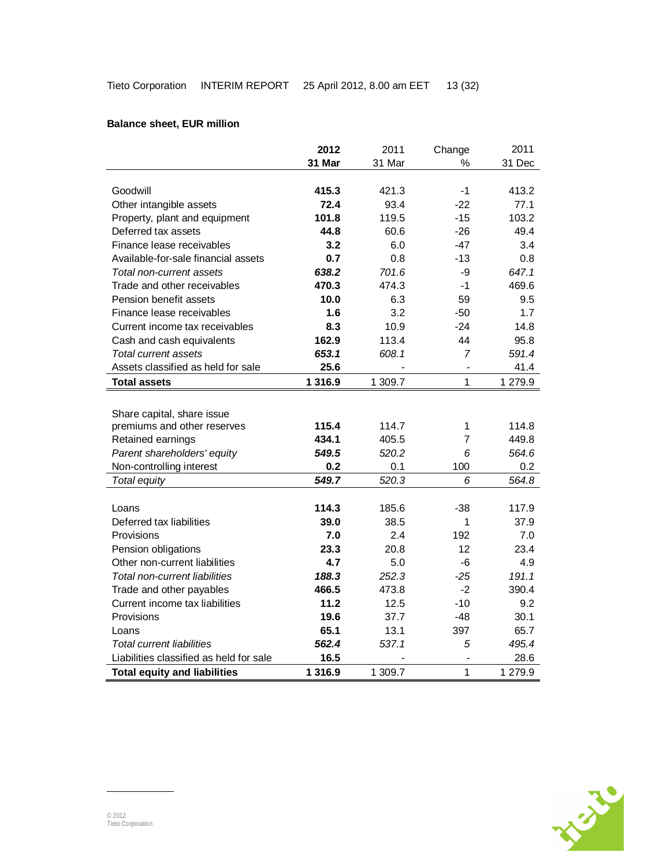## **Balance sheet, EUR million**

|                                         | 2012      | 2011    | Change         | 2011    |
|-----------------------------------------|-----------|---------|----------------|---------|
|                                         | 31 Mar    | 31 Mar  | %              | 31 Dec  |
|                                         |           |         |                |         |
| Goodwill                                | 415.3     | 421.3   | $-1$           | 413.2   |
| Other intangible assets                 | 72.4      | 93.4    | $-22$          | 77.1    |
| Property, plant and equipment           | 101.8     | 119.5   | $-15$          | 103.2   |
| Deferred tax assets                     | 44.8      | 60.6    | $-26$          | 49.4    |
| Finance lease receivables               | 3.2       | 6.0     | -47            | 3.4     |
| Available-for-sale financial assets     | 0.7       | 0.8     | $-13$          | 0.8     |
| Total non-current assets                | 638.2     | 701.6   | -9             | 647.1   |
| Trade and other receivables             | 470.3     | 474.3   | $-1$           | 469.6   |
| Pension benefit assets                  | 10.0      | 6.3     | 59             | 9.5     |
| Finance lease receivables               | 1.6       | 3.2     | $-50$          | 1.7     |
| Current income tax receivables          | 8.3       | 10.9    | $-24$          | 14.8    |
| Cash and cash equivalents               | 162.9     | 113.4   | 44             | 95.8    |
| Total current assets                    | 653.1     | 608.1   | 7              | 591.4   |
| Assets classified as held for sale      | 25.6      |         | -              | 41.4    |
| <b>Total assets</b>                     | 1 3 1 6.9 | 1 309.7 | 1              | 1 279.9 |
|                                         |           |         |                |         |
| Share capital, share issue              |           |         |                |         |
| premiums and other reserves             | 115.4     | 114.7   | 1              | 114.8   |
| Retained earnings                       | 434.1     | 405.5   | $\overline{7}$ | 449.8   |
| Parent shareholders' equity             | 549.5     | 520.2   | 6              | 564.6   |
| Non-controlling interest                | 0.2       | 0.1     | 100            | 0.2     |
| Total equity                            | 549.7     | 520.3   | 6              | 564.8   |
|                                         |           |         |                |         |
| Loans                                   | 114.3     | 185.6   | -38            | 117.9   |
| Deferred tax liabilities                | 39.0      | 38.5    | 1              | 37.9    |
| Provisions                              | 7.0       | 2.4     | 192            | 7.0     |
| Pension obligations                     | 23.3      | 20.8    | 12             | 23.4    |
| Other non-current liabilities           | 4.7       | 5.0     | $-6$           | 4.9     |
| <b>Total non-current liabilities</b>    | 188.3     | 252.3   | $-25$          | 191.1   |
| Trade and other payables                | 466.5     | 473.8   | $-2$           | 390.4   |
| Current income tax liabilities          | 11.2      | 12.5    | $-10$          | 9.2     |
| Provisions                              | 19.6      | 37.7    | -48            | 30.1    |
| Loans                                   | 65.1      | 13.1    | 397            | 65.7    |
| <b>Total current liabilities</b>        | 562.4     | 537.1   | 5              | 495.4   |
| Liabilities classified as held for sale | 16.5      |         | $\overline{a}$ | 28.6    |
| <b>Total equity and liabilities</b>     | 1 3 1 6.9 | 1 309.7 | $\mathbf{1}$   | 1 279.9 |

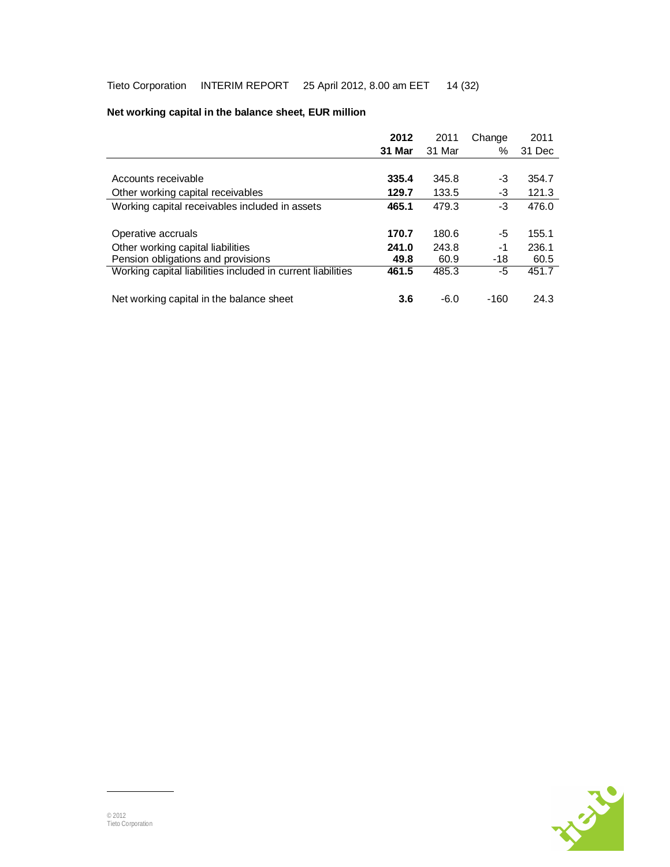|                                                             | 2012   | 2011   | Change | 2011   |
|-------------------------------------------------------------|--------|--------|--------|--------|
|                                                             | 31 Mar | 31 Mar | $\%$   | 31 Dec |
|                                                             |        |        |        |        |
| Accounts receivable                                         | 335.4  | 345.8  | -3     | 354.7  |
| Other working capital receivables                           | 129.7  | 133.5  | -3     | 121.3  |
| Working capital receivables included in assets              | 465.1  | 479.3  | -3     | 476.0  |
|                                                             |        |        |        |        |
| Operative accruals                                          | 170.7  | 180.6  | -5     | 155.1  |
| Other working capital liabilities                           | 241.0  | 243.8  | $-1$   | 236.1  |
| Pension obligations and provisions                          | 49.8   | 60.9   | $-18$  | 60.5   |
| Working capital liabilities included in current liabilities | 461.5  | 485.3  | -5     | 451.7  |
|                                                             |        |        |        |        |
| Net working capital in the balance sheet                    | 3.6    | $-6.0$ | -160   | 24.3   |

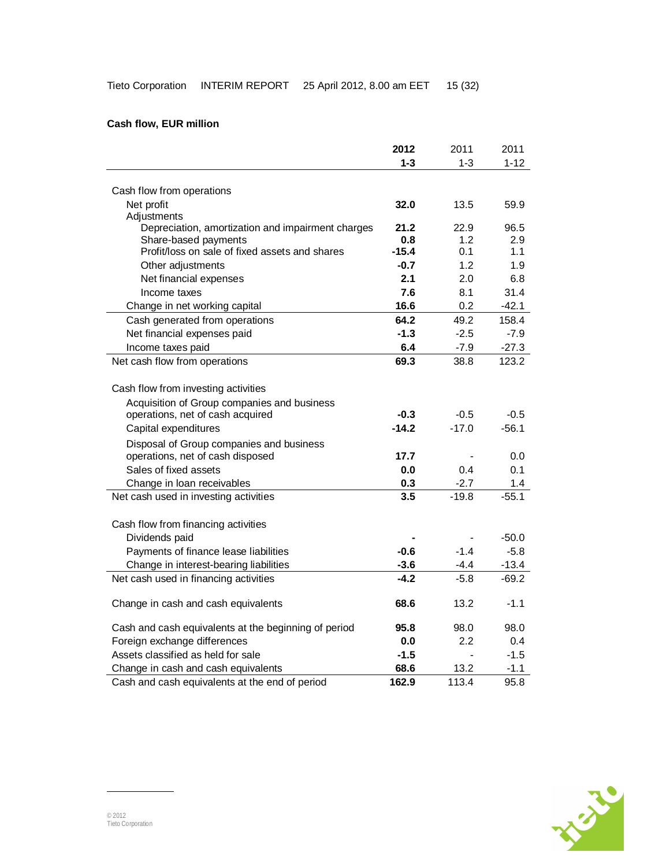## **Cash flow, EUR million**

|                                                      | 2012             | 2011    | 2011     |
|------------------------------------------------------|------------------|---------|----------|
|                                                      | $1 - 3$          | $1 - 3$ | $1 - 12$ |
|                                                      |                  |         |          |
| Cash flow from operations                            |                  |         |          |
| Net profit                                           | 32.0             | 13.5    | 59.9     |
| Adjustments                                          |                  |         |          |
| Depreciation, amortization and impairment charges    | 21.2             | 22.9    | 96.5     |
| Share-based payments                                 | 0.8              | 1.2     | 2.9      |
| Profit/loss on sale of fixed assets and shares       | $-15.4$          | 0.1     | 1.1      |
| Other adjustments                                    | $-0.7$           | 1.2     | 1.9      |
| Net financial expenses                               | 2.1              | 2.0     | 6.8      |
| Income taxes                                         | 7.6              | 8.1     | 31.4     |
| Change in net working capital                        | 16.6             | 0.2     | $-42.1$  |
| Cash generated from operations                       | 64.2             | 49.2    | 158.4    |
| Net financial expenses paid                          | $-1.3$           | $-2.5$  | $-7.9$   |
| Income taxes paid                                    | 6.4              | $-7.9$  | $-27.3$  |
| Net cash flow from operations                        | 69.3             | 38.8    | 123.2    |
|                                                      |                  |         |          |
| Cash flow from investing activities                  |                  |         |          |
| Acquisition of Group companies and business          |                  |         |          |
| operations, net of cash acquired                     | $-0.3$           | $-0.5$  | $-0.5$   |
| Capital expenditures                                 | $-14.2$          | $-17.0$ | $-56.1$  |
| Disposal of Group companies and business             |                  |         |          |
| operations, net of cash disposed                     | 17.7             |         | 0.0      |
| Sales of fixed assets                                | 0.0              | 0.4     | 0.1      |
| Change in loan receivables                           | 0.3              | $-2.7$  | 1.4      |
| Net cash used in investing activities                | $\overline{3.5}$ | $-19.8$ | $-55.1$  |
|                                                      |                  |         |          |
| Cash flow from financing activities                  |                  |         |          |
| Dividends paid                                       |                  |         | $-50.0$  |
| Payments of finance lease liabilities                | $-0.6$           | $-1.4$  | $-5.8$   |
| Change in interest-bearing liabilities               | $-3.6$           | $-4.4$  | $-13.4$  |
| Net cash used in financing activities                | $-4.2$           | $-5.8$  | $-69.2$  |
|                                                      |                  |         |          |
| Change in cash and cash equivalents                  | 68.6             | 13.2    | $-1.1$   |
|                                                      |                  |         |          |
| Cash and cash equivalents at the beginning of period | 95.8             | 98.0    | 98.0     |
| Foreign exchange differences                         | 0.0              | 2.2     | 0.4      |
| Assets classified as held for sale                   | $-1.5$           |         | $-1.5$   |
| Change in cash and cash equivalents                  | 68.6             | 13.2    | $-1.1$   |
| Cash and cash equivalents at the end of period       | 162.9            | 113.4   | 95.8     |
|                                                      |                  |         |          |

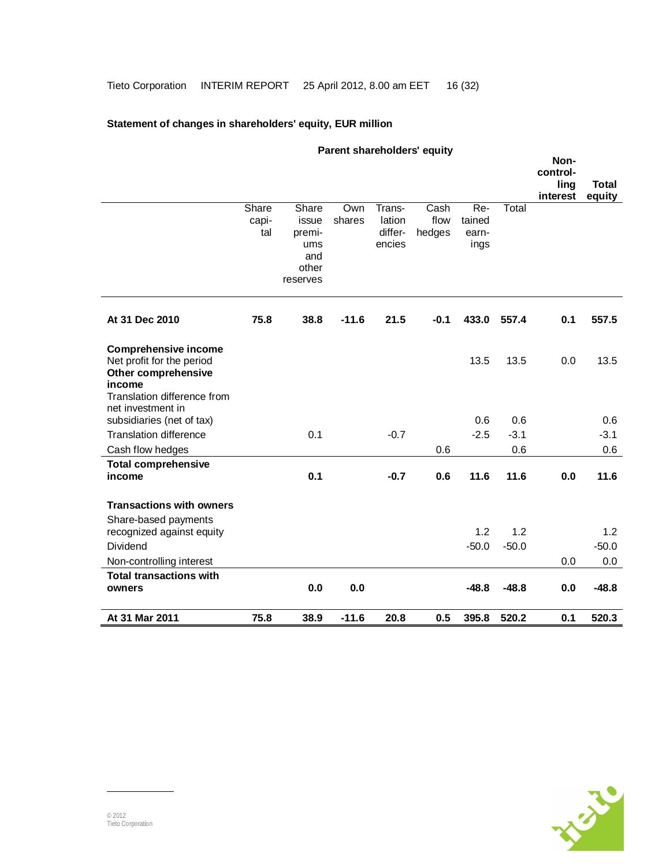## **Statement of changes in shareholders' equity, EUR million**

| Parent shareholders' equity          |       |                   |               |                  |              | Non-    |         |          |              |
|--------------------------------------|-------|-------------------|---------------|------------------|--------------|---------|---------|----------|--------------|
|                                      |       |                   |               |                  |              |         |         | control- |              |
|                                      |       |                   |               |                  |              |         |         | ling     | <b>Total</b> |
|                                      | Share |                   |               |                  |              | $Re-$   |         | interest | equity       |
|                                      | capi- | Share<br>issue    | Own<br>shares | Trans-<br>lation | Cash<br>flow | tained  | Total   |          |              |
|                                      | tal   | premi-            |               | differ-          | hedges       | earn-   |         |          |              |
|                                      |       | ums               |               | encies           |              | ings    |         |          |              |
|                                      |       | and               |               |                  |              |         |         |          |              |
|                                      |       | other<br>reserves |               |                  |              |         |         |          |              |
|                                      |       |                   |               |                  |              |         |         |          |              |
| At 31 Dec 2010                       | 75.8  | 38.8              | $-11.6$       | 21.5             | $-0.1$       | 433.0   | 557.4   | 0.1      | 557.5        |
| <b>Comprehensive income</b>          |       |                   |               |                  |              |         |         |          |              |
| Net profit for the period            |       |                   |               |                  |              | 13.5    | 13.5    | 0.0      | 13.5         |
| Other comprehensive<br>income        |       |                   |               |                  |              |         |         |          |              |
| Translation difference from          |       |                   |               |                  |              |         |         |          |              |
| net investment in                    |       |                   |               |                  |              |         |         |          |              |
| subsidiaries (net of tax)            |       |                   |               |                  |              | 0.6     | 0.6     |          | 0.6          |
| <b>Translation difference</b>        |       | 0.1               |               | $-0.7$           |              | $-2.5$  | $-3.1$  |          | $-3.1$       |
| Cash flow hedges                     |       |                   |               |                  | 0.6          |         | 0.6     |          | 0.6          |
| <b>Total comprehensive</b><br>income |       | 0.1               |               |                  | 0.6          | 11.6    | 11.6    | 0.0      | 11.6         |
|                                      |       |                   |               | $-0.7$           |              |         |         |          |              |
| <b>Transactions with owners</b>      |       |                   |               |                  |              |         |         |          |              |
| Share-based payments                 |       |                   |               |                  |              |         |         |          |              |
| recognized against equity            |       |                   |               |                  |              | 1.2     | 1.2     |          | 1.2          |
| Dividend                             |       |                   |               |                  |              | $-50.0$ | $-50.0$ |          | $-50.0$      |
| Non-controlling interest             |       |                   |               |                  |              |         |         | 0.0      | 0.0          |
| <b>Total transactions with</b>       |       |                   |               |                  |              |         |         |          |              |
| owners                               |       | 0.0               | 0.0           |                  |              | $-48.8$ | $-48.8$ | 0.0      | $-48.8$      |
| At 31 Mar 2011                       | 75.8  | 38.9              | $-11.6$       | 20.8             | 0.5          | 395.8   | 520.2   | 0.1      | 520.3        |

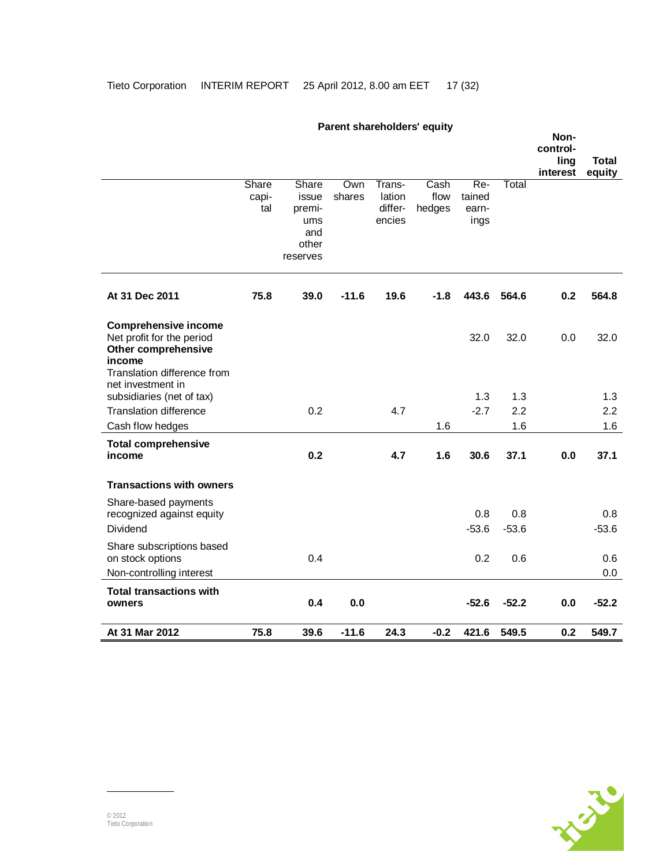|                                                                                                                                                      |                       |                                                             |               |                                       | <b>Faither</b> Shartholdtrong to the Figure of the Figure of the Figure of the Figure of the Figure of the Figure of the Figure of the Figure of the Figure of the Figure of the Figure of the Figure of the Figure of the Figure o |                                |                | Non-<br>control-<br>ling<br>interest | Total<br>equity |
|------------------------------------------------------------------------------------------------------------------------------------------------------|-----------------------|-------------------------------------------------------------|---------------|---------------------------------------|-------------------------------------------------------------------------------------------------------------------------------------------------------------------------------------------------------------------------------------|--------------------------------|----------------|--------------------------------------|-----------------|
|                                                                                                                                                      | Share<br>capi-<br>tal | Share<br>issue<br>premi-<br>ums<br>and<br>other<br>reserves | Own<br>shares | Trans-<br>lation<br>differ-<br>encies | Cash<br>flow<br>hedges                                                                                                                                                                                                              | Re-<br>tained<br>earn-<br>ings | Total          |                                      |                 |
| At 31 Dec 2011                                                                                                                                       | 75.8                  | 39.0                                                        | $-11.6$       | 19.6                                  | $-1.8$                                                                                                                                                                                                                              | 443.6                          | 564.6          | 0.2                                  | 564.8           |
| <b>Comprehensive income</b><br>Net profit for the period<br><b>Other comprehensive</b><br>income<br>Translation difference from<br>net investment in |                       |                                                             |               |                                       |                                                                                                                                                                                                                                     | 32.0                           | 32.0           | 0.0                                  | 32.0            |
| subsidiaries (net of tax)                                                                                                                            |                       |                                                             |               |                                       |                                                                                                                                                                                                                                     | 1.3                            | 1.3            |                                      | 1.3             |
| <b>Translation difference</b>                                                                                                                        |                       | 0.2                                                         |               | 4.7                                   |                                                                                                                                                                                                                                     | $-2.7$                         | 2.2            |                                      | 2.2             |
| Cash flow hedges                                                                                                                                     |                       |                                                             |               |                                       | 1.6                                                                                                                                                                                                                                 |                                | 1.6            |                                      | 1.6             |
| <b>Total comprehensive</b><br>income                                                                                                                 |                       | 0.2                                                         |               | 4.7                                   | 1.6                                                                                                                                                                                                                                 | 30.6                           | 37.1           | 0.0                                  | 37.1            |
| <b>Transactions with owners</b>                                                                                                                      |                       |                                                             |               |                                       |                                                                                                                                                                                                                                     |                                |                |                                      |                 |
| Share-based payments<br>recognized against equity<br>Dividend                                                                                        |                       |                                                             |               |                                       |                                                                                                                                                                                                                                     | 0.8<br>$-53.6$                 | 0.8<br>$-53.6$ |                                      | 0.8<br>$-53.6$  |
| Share subscriptions based<br>on stock options<br>Non-controlling interest                                                                            |                       | 0.4                                                         |               |                                       |                                                                                                                                                                                                                                     | 0.2                            | 0.6            |                                      | 0.6<br>0.0      |
| <b>Total transactions with</b><br>owners                                                                                                             |                       | 0.4                                                         | 0.0           |                                       |                                                                                                                                                                                                                                     | $-52.6$                        | $-52.2$        | 0.0                                  | $-52.2$         |
| At 31 Mar 2012                                                                                                                                       | 75.8                  | 39.6                                                        | $-11.6$       | 24.3                                  | $-0.2$                                                                                                                                                                                                                              | 421.6                          | 549.5          | 0.2                                  | 549.7           |

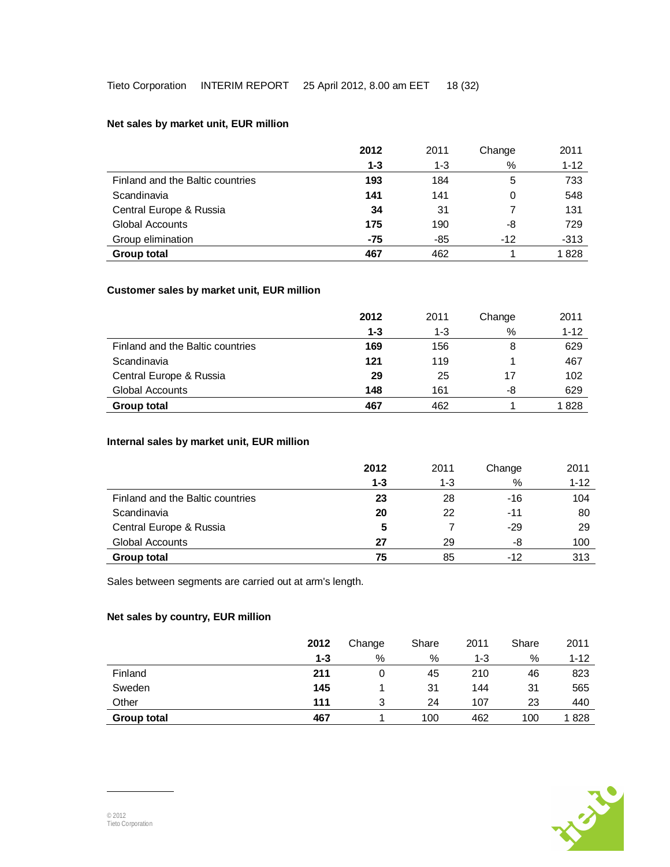## **Net sales by market unit, EUR million**

|                                  | 2012    | 2011    | Change | 2011     |
|----------------------------------|---------|---------|--------|----------|
|                                  | $1 - 3$ | $1 - 3$ | %      | $1 - 12$ |
| Finland and the Baltic countries | 193     | 184     | 5      | 733      |
| Scandinavia                      | 141     | 141     | 0      | 548      |
| Central Europe & Russia          | 34      | 31      |        | 131      |
| <b>Global Accounts</b>           | 175     | 190     | -8     | 729      |
| Group elimination                | -75     | -85     | $-12$  | $-313$   |
| <b>Group total</b>               | 467     | 462     |        | 1828     |

### **Customer sales by market unit, EUR million**

|                                  | 2012    | 2011 | Change | 2011     |
|----------------------------------|---------|------|--------|----------|
|                                  | $1 - 3$ | 1-3  | %      | $1 - 12$ |
| Finland and the Baltic countries | 169     | 156  | 8      | 629      |
| Scandinavia                      | 121     | 119  |        | 467      |
| Central Europe & Russia          | 29      | 25   | 17     | 102      |
| Global Accounts                  | 148     | 161  | -8     | 629      |
| <b>Group total</b>               | 467     | 462  |        | 1828     |

## **Internal sales by market unit, EUR million**

|                                  | 2012    | 2011 | Change | 2011     |
|----------------------------------|---------|------|--------|----------|
|                                  | $1 - 3$ | 1-3  | %      | $1 - 12$ |
| Finland and the Baltic countries | 23      | 28   | -16    | 104      |
| Scandinavia                      | 20      | 22   | $-11$  | 80       |
| Central Europe & Russia          | 5       |      | -29    | 29       |
| Global Accounts                  | 27      | 29   | -8     | 100      |
| <b>Group total</b>               | 75      | 85   | -12    | 313      |

Sales between segments are carried out at arm's length.

## **Net sales by country, EUR million**

|                    | 2012    | Change | Share | 2011 | Share | 2011     |
|--------------------|---------|--------|-------|------|-------|----------|
|                    | $1 - 3$ | %      | %     | 1-3  | %     | $1 - 12$ |
| Finland            | 211     | 0      | 45    | 210  | 46    | 823      |
| Sweden             | 145     |        | 31    | 144  | 31    | 565      |
| Other              | 111     | 3      | 24    | 107  | 23    | 440      |
| <b>Group total</b> | 467     |        | 100   | 462  | 100   | 1828     |

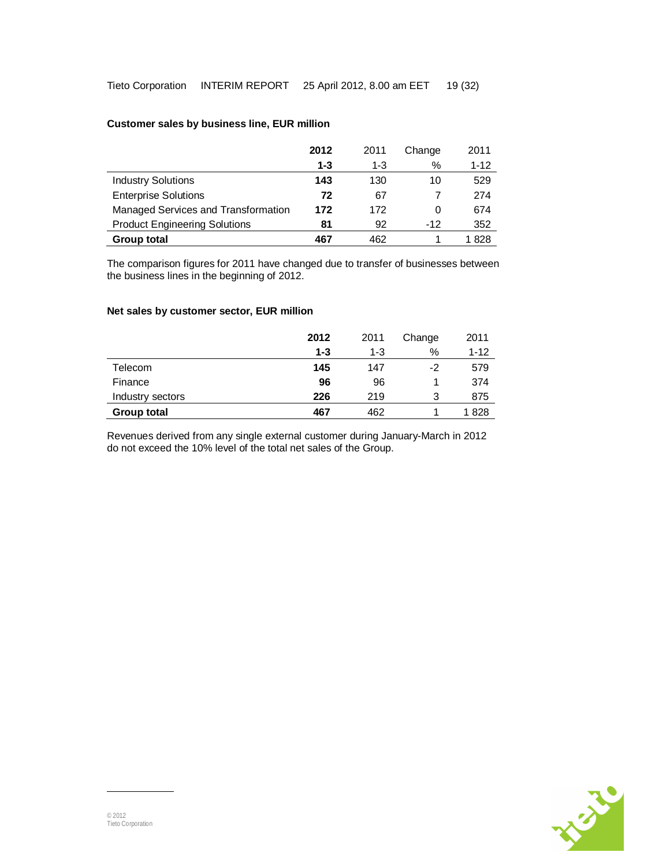### **Customer sales by business line, EUR million**

|                                      | 2012    | 2011    | Change | 2011     |
|--------------------------------------|---------|---------|--------|----------|
|                                      | $1 - 3$ | $1 - 3$ | %      | $1 - 12$ |
| <b>Industry Solutions</b>            | 143     | 130     | 10     | 529      |
| <b>Enterprise Solutions</b>          | 72      | 67      |        | 274      |
| Managed Services and Transformation  | 172     | 172     | 0      | 674      |
| <b>Product Engineering Solutions</b> | 81      | 92      | $-12$  | 352      |
| <b>Group total</b>                   | 467     | 462     |        | l 828    |

The comparison figures for 2011 have changed due to transfer of businesses between the business lines in the beginning of 2012.

### **Net sales by customer sector, EUR million**

|                    | 2012    | 2011 | Change | 2011     |
|--------------------|---------|------|--------|----------|
|                    | $1 - 3$ | 1-3  | $\%$   | $1 - 12$ |
| Telecom            | 145     | 147  | -2     | 579      |
| Finance            | 96      | 96   |        | 374      |
| Industry sectors   | 226     | 219  | 3      | 875      |
| <b>Group total</b> | 467     | 462  |        | 1828     |

Revenues derived from any single external customer during January-March in 2012 do not exceed the 10% level of the total net sales of the Group.

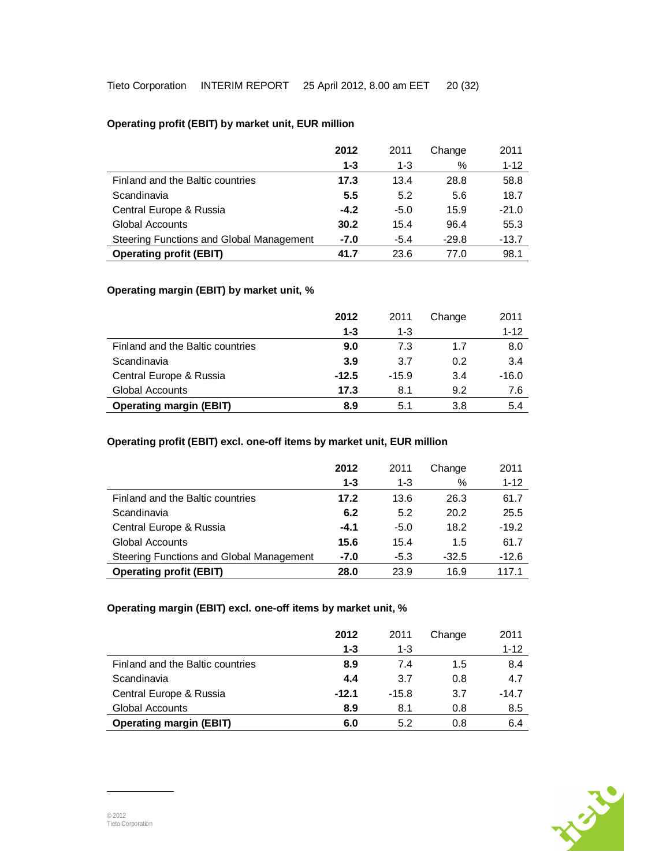## **Operating profit (EBIT) by market unit, EUR million**

|                                          | 2012    | 2011    | Change  | 2011     |
|------------------------------------------|---------|---------|---------|----------|
|                                          | $1 - 3$ | $1 - 3$ | %       | $1 - 12$ |
| Finland and the Baltic countries         | 17.3    | 13.4    | 28.8    | 58.8     |
| Scandinavia                              | 5.5     | 5.2     | 5.6     | 18.7     |
| Central Europe & Russia                  | $-4.2$  | $-5.0$  | 15.9    | $-21.0$  |
| <b>Global Accounts</b>                   | 30.2    | 15.4    | 96.4    | 55.3     |
| Steering Functions and Global Management | $-7.0$  | $-5.4$  | $-29.8$ | $-13.7$  |
| <b>Operating profit (EBIT)</b>           | 41.7    | 23.6    | 77.0    | 98.1     |

### **Operating margin (EBIT) by market unit, %**

|                                  | 2012    | 2011    | Change | 2011     |
|----------------------------------|---------|---------|--------|----------|
|                                  | $1 - 3$ | $1 - 3$ |        | $1 - 12$ |
| Finland and the Baltic countries | 9.0     | 7.3     | 1.7    | 8.0      |
| Scandinavia                      | 3.9     | 3.7     | 0.2    | 3.4      |
| Central Europe & Russia          | $-12.5$ | $-15.9$ | 3.4    | $-16.0$  |
| Global Accounts                  | 17.3    | 8.1     | 9.2    | 7.6      |
| <b>Operating margin (EBIT)</b>   | 8.9     | 5.1     | 3.8    | 5.4      |

## **Operating profit (EBIT) excl. one-off items by market unit, EUR million**

|                                          | 2012    | 2011    | Change  | 2011     |
|------------------------------------------|---------|---------|---------|----------|
|                                          | $1 - 3$ | $1 - 3$ | %       | $1 - 12$ |
| Finland and the Baltic countries         | 17.2    | 13.6    | 26.3    | 61.7     |
| Scandinavia                              | 6.2     | 5.2     | 20.2    | 25.5     |
| Central Europe & Russia                  | $-4.1$  | $-5.0$  | 18.2    | $-19.2$  |
| <b>Global Accounts</b>                   | 15.6    | 15.4    | 1.5     | 61.7     |
| Steering Functions and Global Management | $-7.0$  | $-5.3$  | $-32.5$ | $-12.6$  |
| <b>Operating profit (EBIT)</b>           | 28.0    | 23.9    | 16.9    | 1171     |

## **Operating margin (EBIT) excl. one-off items by market unit, %**

|                                  | 2012<br>$1 - 3$ | 2011<br>$1 - 3$ | Change | 2011<br>$1 - 12$ |
|----------------------------------|-----------------|-----------------|--------|------------------|
| Finland and the Baltic countries | 8.9             | 7.4             | 1.5    | 8.4              |
| Scandinavia                      | 4.4             | 3.7             | 0.8    | 4.7              |
| Central Europe & Russia          | $-12.1$         | $-15.8$         | 3.7    | $-14.7$          |
| Global Accounts                  | 8.9             | 8.1             | 0.8    | 8.5              |
| <b>Operating margin (EBIT)</b>   | 6.0             | 5.2             | 0.8    | 6.4              |

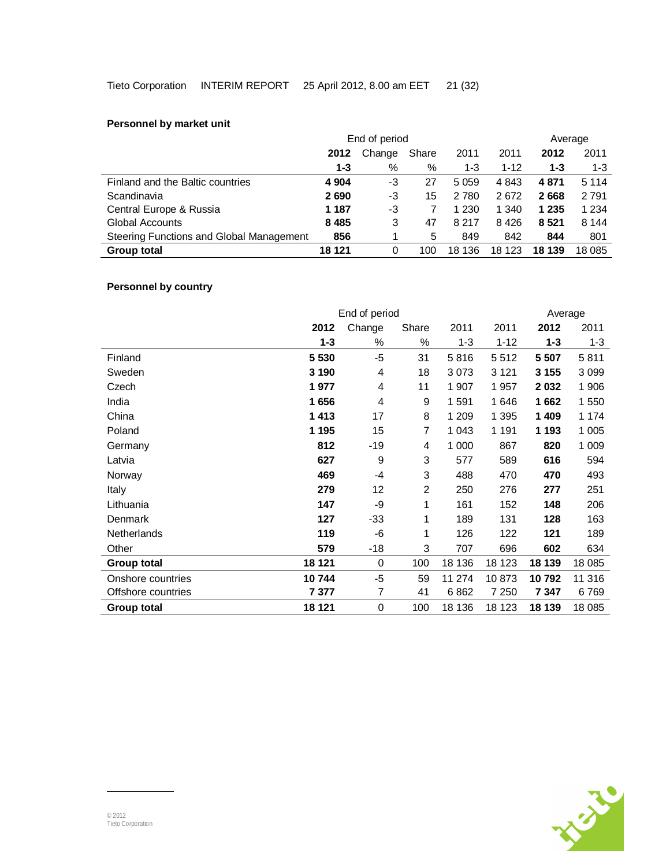## **Personnel by market unit**

|                                          | End of period |        |       |         | Average  |         |         |
|------------------------------------------|---------------|--------|-------|---------|----------|---------|---------|
|                                          | 2012          | Change | Share | 2011    | 2011     | 2012    | 2011    |
|                                          | $1 - 3$       | %      | %     | $1 - 3$ | $1 - 12$ | 1-3     | $1-3$   |
| Finland and the Baltic countries         | 4 9 04        | -3     | 27    | 5 0 5 9 | 4 8 4 3  | 4 871   | 5 1 1 4 |
| Scandinavia                              | 2690          | -3     | 15    | 2 7 8 0 | 2672     | 2668    | 2791    |
| Central Europe & Russia                  | 1 187         | -3     |       | 1 2 3 0 | 1 340    | 1 2 3 5 | 1 2 3 4 |
| Global Accounts                          | 8 4 8 5       | 3      | 47    | 8 2 1 7 | 8426     | 8 5 21  | 8 1 4 4 |
| Steering Functions and Global Management | 856           |        | 5     | 849     | 842      | 844     | 801     |
| Group total                              | 18 121        | 0      | 100   | 18 136  | 18 123   | 18 139  | 18 0 85 |

## **Personnel by country**

|                    | End of period |        |                |         | Average  |         |         |
|--------------------|---------------|--------|----------------|---------|----------|---------|---------|
|                    | 2012          | Change | Share          | 2011    | 2011     | 2012    | 2011    |
|                    | $1 - 3$       | %      | %              | $1 - 3$ | $1 - 12$ | $1 - 3$ | $1 - 3$ |
| Finland            | 5 5 3 0       | $-5$   | 31             | 5816    | 5512     | 5 5 0 7 | 5811    |
| Sweden             | 3 1 9 0       | 4      | 18             | 3073    | 3 1 2 1  | 3 1 5 5 | 3 0 9 9 |
| Czech              | 1977          | 4      | 11             | 1 907   | 1957     | 2 0 3 2 | 1 906   |
| India              | 1656          | 4      | 9              | 1 5 9 1 | 1646     | 1662    | 1 550   |
| China              | 1413          | 17     | 8              | 1 209   | 1 3 9 5  | 1 409   | 1 1 7 4 |
| Poland             | 1 1 9 5       | 15     | 7              | 1 0 4 3 | 1 1 9 1  | 1 193   | 1 0 0 5 |
| Germany            | 812           | -19    | 4              | 1 0 0 0 | 867      | 820     | 1 0 0 9 |
| Latvia             | 627           | 9      | 3              | 577     | 589      | 616     | 594     |
| Norway             | 469           | -4     | 3              | 488     | 470      | 470     | 493     |
| Italy              | 279           | 12     | $\overline{2}$ | 250     | 276      | 277     | 251     |
| Lithuania          | 147           | -9     | 1              | 161     | 152      | 148     | 206     |
| Denmark            | 127           | $-33$  | 1              | 189     | 131      | 128     | 163     |
| Netherlands        | 119           | -6     | 1              | 126     | 122      | 121     | 189     |
| Other              | 579           | $-18$  | 3              | 707     | 696      | 602     | 634     |
| Group total        | 18 121        | 0      | 100            | 18 136  | 18 123   | 18 139  | 18 0 85 |
| Onshore countries  | 10744         | $-5$   | 59             | 11 274  | 10873    | 10792   | 11 316  |
| Offshore countries | 7 377         | 7      | 41             | 6862    | 7 2 5 0  | 7 347   | 6769    |
| <b>Group total</b> | 18 121        | 0      | 100            | 18 136  | 18 123   | 18 139  | 18 0 85 |

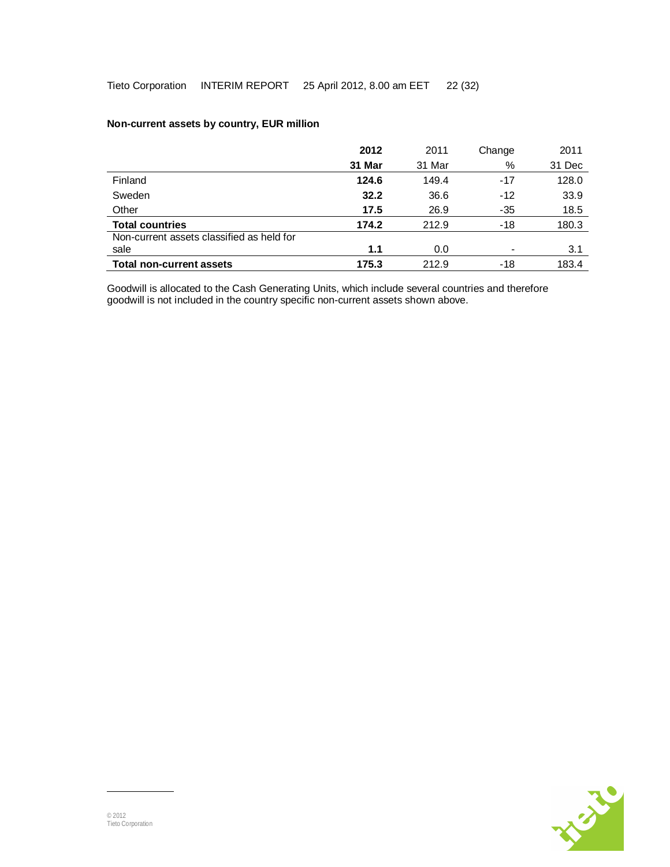|                                           | 2012   | 2011   | Change | 2011   |
|-------------------------------------------|--------|--------|--------|--------|
|                                           | 31 Mar | 31 Mar | %      | 31 Dec |
| Finland                                   | 124.6  | 149.4  | $-17$  | 128.0  |
| Sweden                                    | 32.2   | 36.6   | $-12$  | 33.9   |
| Other                                     | 17.5   | 26.9   | -35    | 18.5   |
| <b>Total countries</b>                    | 174.2  | 212.9  | $-18$  | 180.3  |
| Non-current assets classified as held for |        |        |        |        |
| sale                                      | 1.1    | 0.0    |        | 3.1    |
| <b>Total non-current assets</b>           | 175.3  | 212.9  | -18    | 183.4  |

## **Non-current assets by country, EUR million**

Goodwill is allocated to the Cash Generating Units, which include several countries and therefore goodwill is not included in the country specific non-current assets shown above.

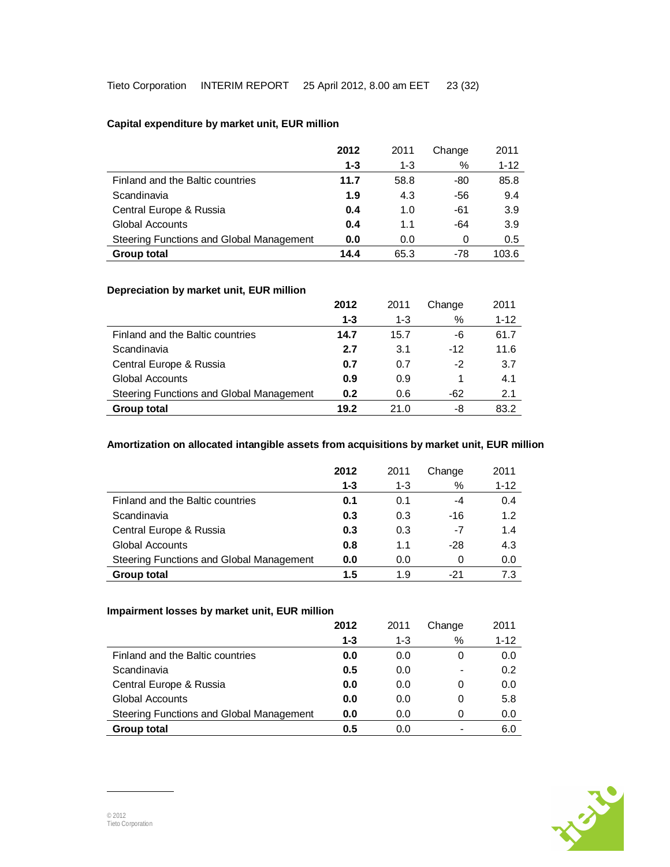## **Capital expenditure by market unit, EUR million**

|                                          | 2012    | 2011    | Change | 2011     |
|------------------------------------------|---------|---------|--------|----------|
|                                          | $1 - 3$ | $1 - 3$ | %      | $1 - 12$ |
| Finland and the Baltic countries         | 11.7    | 58.8    | -80    | 85.8     |
| Scandinavia                              | 1.9     | 4.3     | -56    | 9.4      |
| Central Europe & Russia                  | 0.4     | 1.0     | -61    | 3.9      |
| <b>Global Accounts</b>                   | 0.4     | 1.1     | -64    | 3.9      |
| Steering Functions and Global Management | 0.0     | 0.0     | 0      | 0.5      |
| <b>Group total</b>                       | 14.4    | 65.3    | -78    | 103.6    |

### **Depreciation by market unit, EUR million**

|                                          | 2012    | 2011    | Change | 2011     |
|------------------------------------------|---------|---------|--------|----------|
|                                          | $1 - 3$ | $1 - 3$ | $\%$   | $1 - 12$ |
| Finland and the Baltic countries         | 14.7    | 15.7    | -6     | 61.7     |
| Scandinavia                              | 2.7     | 3.1     | $-12$  | 11.6     |
| Central Europe & Russia                  | 0.7     | 0.7     | $-2$   | 3.7      |
| <b>Global Accounts</b>                   | 0.9     | 0.9     |        | 4.1      |
| Steering Functions and Global Management | 0.2     | 0.6     | -62    | 2.1      |
| <b>Group total</b>                       | 19.2    | 21.0    | -8     | 83.2     |

## **Amortization on allocated intangible assets from acquisitions by market unit, EUR million**

|                                          | 2012 | 2011    | Change | 2011     |
|------------------------------------------|------|---------|--------|----------|
|                                          | 1-3  | $1 - 3$ | %      | $1 - 12$ |
| Finland and the Baltic countries         | 0.1  | 0.1     | -4     | 0.4      |
| Scandinavia                              | 0.3  | 0.3     | -16    | 1.2      |
| Central Europe & Russia                  | 0.3  | 0.3     | -7     | 1.4      |
| Global Accounts                          | 0.8  | 1.1     | $-28$  | 4.3      |
| Steering Functions and Global Management | 0.0  | 0.0     | 0      | 0.0      |
| <b>Group total</b>                       | 1.5  | 1.9     | -21    | 7.3      |

## **Impairment losses by market unit, EUR million**

|                                          | 2012    | 2011    | Change                   | 2011     |
|------------------------------------------|---------|---------|--------------------------|----------|
|                                          | $1 - 3$ | $1 - 3$ | %                        | $1 - 12$ |
| Finland and the Baltic countries         | 0.0     | 0.0     | 0                        | 0.0      |
| Scandinavia                              | 0.5     | 0.0     | $\,$                     | 0.2      |
| Central Europe & Russia                  | 0.0     | 0.0     | 0                        | 0.0      |
| <b>Global Accounts</b>                   | 0.0     | 0.0     | 0                        | 5.8      |
| Steering Functions and Global Management | 0.0     | 0.0     | 0                        | 0.0      |
| <b>Group total</b>                       | 0.5     | 0.0     | $\overline{\phantom{0}}$ | 6.0      |

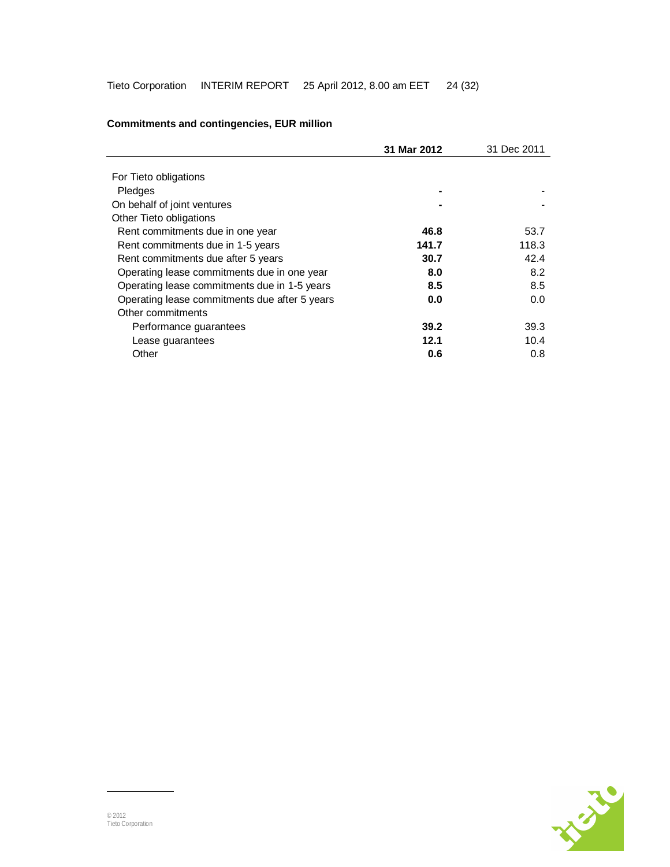|                                               | 31 Mar 2012 | 31 Dec 2011 |
|-----------------------------------------------|-------------|-------------|
|                                               |             |             |
| For Tieto obligations                         |             |             |
| Pledges                                       |             |             |
| On behalf of joint ventures                   |             |             |
| Other Tieto obligations                       |             |             |
| Rent commitments due in one year              | 46.8        | 53.7        |
| Rent commitments due in 1-5 years             | 141.7       | 118.3       |
| Rent commitments due after 5 years            | 30.7        | 42.4        |
| Operating lease commitments due in one year   | 8.0         | 8.2         |
| Operating lease commitments due in 1-5 years  | 8.5         | 8.5         |
| Operating lease commitments due after 5 years | 0.0         | 0.0         |
| Other commitments                             |             |             |
| Performance guarantees                        | 39.2        | 39.3        |
| Lease guarantees                              | 12.1        | 10.4        |
| Other                                         | 0.6         | 0.8         |

## **Commitments and contingencies, EUR million**

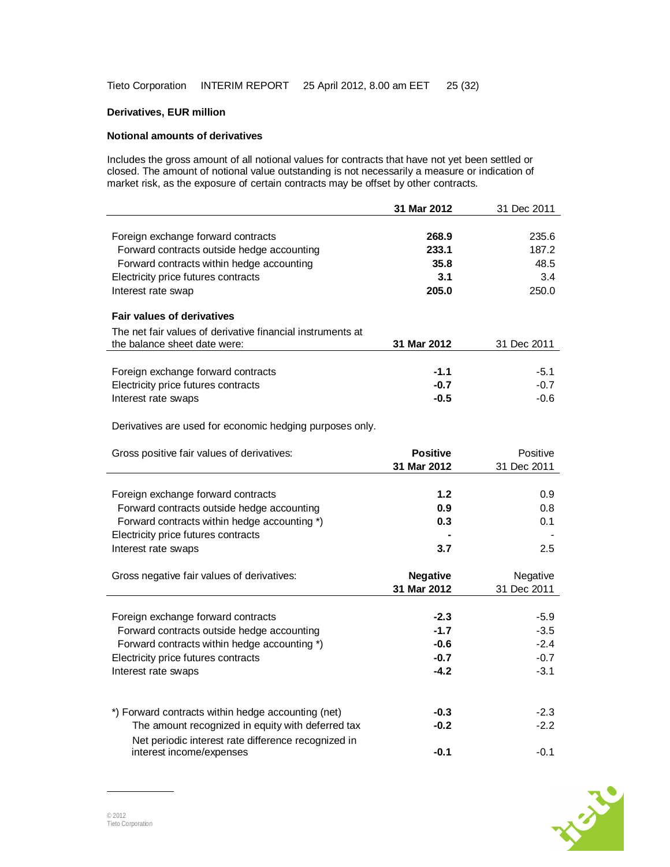## **Derivatives, EUR million**

#### **Notional amounts of derivatives**

Includes the gross amount of all notional values for contracts that have not yet been settled or closed. The amount of notional value outstanding is not necessarily a measure or indication of market risk, as the exposure of certain contracts may be offset by other contracts.

|                                                            | 31 Mar 2012     | 31 Dec 2011 |
|------------------------------------------------------------|-----------------|-------------|
|                                                            |                 |             |
| Foreign exchange forward contracts                         | 268.9           | 235.6       |
| Forward contracts outside hedge accounting                 | 233.1           | 187.2       |
| Forward contracts within hedge accounting                  | 35.8            | 48.5        |
| Electricity price futures contracts                        | 3.1             | 3.4         |
| Interest rate swap                                         | 205.0           | 250.0       |
| <b>Fair values of derivatives</b>                          |                 |             |
| The net fair values of derivative financial instruments at |                 |             |
| the balance sheet date were:                               | 31 Mar 2012     | 31 Dec 2011 |
|                                                            |                 |             |
| Foreign exchange forward contracts                         | $-1.1$          | $-5.1$      |
| Electricity price futures contracts                        | $-0.7$          | $-0.7$      |
| Interest rate swaps                                        | $-0.5$          | $-0.6$      |
|                                                            |                 |             |
| Derivatives are used for economic hedging purposes only.   |                 |             |
|                                                            |                 |             |
| Gross positive fair values of derivatives:                 | <b>Positive</b> | Positive    |
|                                                            | 31 Mar 2012     | 31 Dec 2011 |
|                                                            |                 |             |
| Foreign exchange forward contracts                         | 1.2             | 0.9         |
| Forward contracts outside hedge accounting                 | 0.9             | 0.8         |
| Forward contracts within hedge accounting *)               | 0.3             | 0.1         |
| Electricity price futures contracts                        |                 |             |
| Interest rate swaps                                        | 3.7             | 2.5         |
|                                                            |                 |             |
| Gross negative fair values of derivatives:                 | <b>Negative</b> | Negative    |
|                                                            | 31 Mar 2012     | 31 Dec 2011 |
|                                                            |                 |             |
| Foreign exchange forward contracts                         | $-2.3$          | $-5.9$      |
| Forward contracts outside hedge accounting                 | $-1.7$          | $-3.5$      |
| Forward contracts within hedge accounting *)               | $-0.6$          | $-2.4$      |
| Electricity price futures contracts                        | $-0.7$          | $-0.7$      |
| Interest rate swaps                                        | $-4.2$          | $-3.1$      |
|                                                            |                 |             |
|                                                            |                 |             |
| *) Forward contracts within hedge accounting (net)         | $-0.3$          | $-2.3$      |
| The amount recognized in equity with deferred tax          | $-0.2$          | $-2.2$      |
| Net periodic interest rate difference recognized in        |                 |             |
| interest income/expenses                                   | $-0.1$          | $-0.1$      |

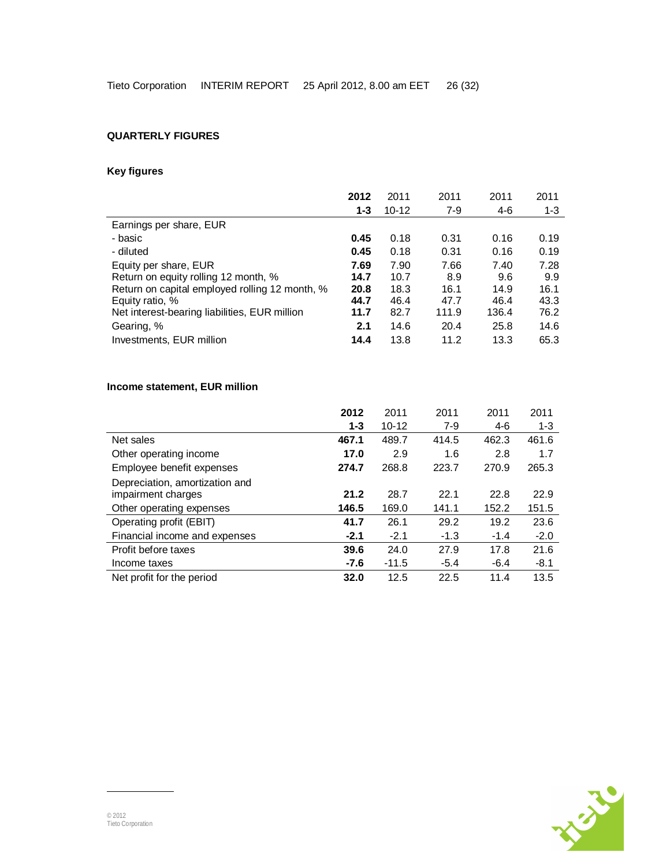## **QUARTERLY FIGURES**

## **Key figures**

|                                                | 2012    | 2011      | 2011  | 2011  | 2011    |
|------------------------------------------------|---------|-----------|-------|-------|---------|
|                                                | $1 - 3$ | $10 - 12$ | $7-9$ | $4-6$ | $1 - 3$ |
| Earnings per share, EUR                        |         |           |       |       |         |
| - basic                                        | 0.45    | 0.18      | 0.31  | 0.16  | 0.19    |
| - diluted                                      | 0.45    | 0.18      | 0.31  | 0.16  | 0.19    |
| Equity per share, EUR                          | 7.69    | 7.90      | 7.66  | 7.40  | 7.28    |
| Return on equity rolling 12 month, %           | 14.7    | 10.7      | 8.9   | 9.6   | 9.9     |
| Return on capital employed rolling 12 month, % | 20.8    | 18.3      | 16.1  | 14.9  | 16.1    |
| Equity ratio, %                                | 44.7    | 46.4      | 47.7  | 46.4  | 43.3    |
| Net interest-bearing liabilities, EUR million  | 11.7    | 82.7      | 111.9 | 136.4 | 76.2    |
| Gearing, %                                     | 2.1     | 14.6      | 20.4  | 25.8  | 14.6    |
| Investments, EUR million                       | 14.4    | 13.8      | 11.2  | 13.3  | 65.3    |

## **Income statement, EUR million**

|                                                      | 2012    | 2011      | 2011   | 2011   | 2011    |
|------------------------------------------------------|---------|-----------|--------|--------|---------|
|                                                      | $1 - 3$ | $10 - 12$ | $7-9$  | 4-6    | $1 - 3$ |
| Net sales                                            | 467.1   | 489.7     | 414.5  | 462.3  | 461.6   |
| Other operating income                               | 17.0    | 2.9       | 1.6    | 2.8    | 1.7     |
| Employee benefit expenses                            | 274.7   | 268.8     | 223.7  | 270.9  | 265.3   |
| Depreciation, amortization and<br>impairment charges | 21.2    | 28.7      | 22.1   | 22.8   | 22.9    |
| Other operating expenses                             | 146.5   | 169.0     | 141.1  | 152.2  | 151.5   |
| Operating profit (EBIT)                              | 41.7    | 26.1      | 29.2   | 19.2   | 23.6    |
| Financial income and expenses                        | $-2.1$  | $-2.1$    | $-1.3$ | $-1.4$ | $-2.0$  |
| Profit before taxes                                  | 39.6    | 24.0      | 27.9   | 17.8   | 21.6    |
| Income taxes                                         | $-7.6$  | $-11.5$   | $-5.4$ | $-6.4$ | $-8.1$  |
| Net profit for the period                            | 32.0    | 12.5      | 22.5   | 11.4   | 13.5    |

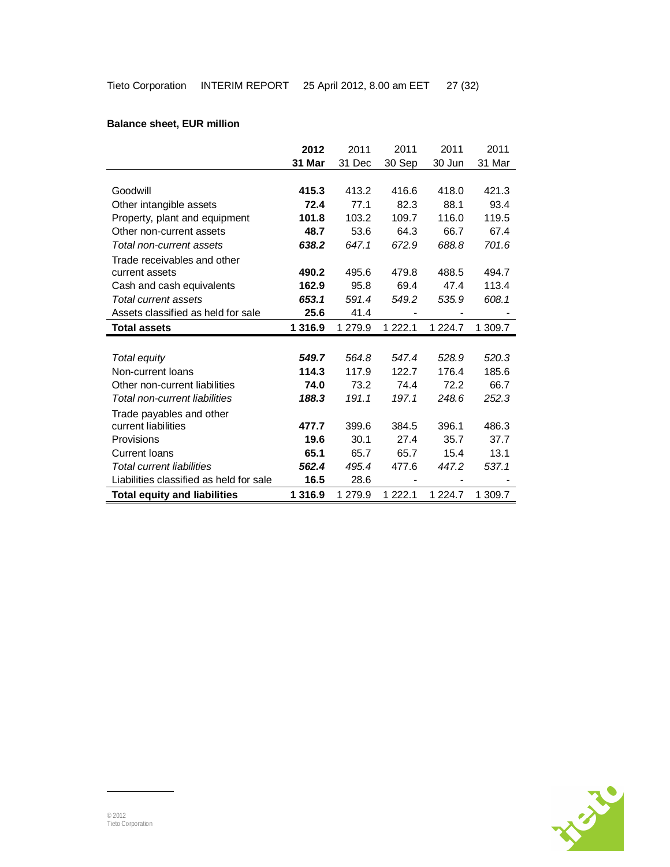## **Balance sheet, EUR million**

|                                         | 2012      | 2011    | 2011                     | 2011        | 2011    |
|-----------------------------------------|-----------|---------|--------------------------|-------------|---------|
|                                         | 31 Mar    | 31 Dec  | 30 Sep                   | 30 Jun      | 31 Mar  |
|                                         |           |         |                          |             |         |
| Goodwill                                | 415.3     | 413.2   | 416.6                    | 418.0       | 421.3   |
| Other intangible assets                 | 72.4      | 77.1    | 82.3                     | 88.1        | 93.4    |
| Property, plant and equipment           | 101.8     | 103.2   | 109.7                    | 116.0       | 119.5   |
| Other non-current assets                | 48.7      | 53.6    | 64.3                     | 66.7        | 67.4    |
| Total non-current assets                | 638.2     | 647.1   | 672.9                    | 688.8       | 701.6   |
| Trade receivables and other             |           |         |                          |             |         |
| current assets                          | 490.2     | 495.6   | 479.8                    | 488.5       | 494.7   |
| Cash and cash equivalents               | 162.9     | 95.8    | 69.4                     | 47.4        | 113.4   |
| Total current assets                    | 653.1     | 591.4   | 549.2                    | 535.9       | 608.1   |
| Assets classified as held for sale      | 25.6      | 41.4    | $\overline{\phantom{0}}$ |             |         |
| <b>Total assets</b>                     | 1 3 1 6.9 | 1 279.9 | 1 2 2 2 . 1              | 1 2 2 4 . 7 | 1 309.7 |
|                                         |           |         |                          |             |         |
| Total equity                            | 549.7     | 564.8   | 547.4                    | 528.9       | 520.3   |
| Non-current loans                       | 114.3     | 117.9   | 122.7                    | 176.4       | 185.6   |
| Other non-current liabilities           | 74.0      | 73.2    | 74.4                     | 72.2        | 66.7    |
| Total non-current liabilities           | 188.3     | 191.1   | 197.1                    | 248.6       | 252.3   |
| Trade payables and other                |           |         |                          |             |         |
| current liabilities                     | 477.7     | 399.6   | 384.5                    | 396.1       | 486.3   |
| Provisions                              | 19.6      | 30.1    | 27.4                     | 35.7        | 37.7    |
| <b>Current loans</b>                    | 65.1      | 65.7    | 65.7                     | 15.4        | 13.1    |
| Total current liabilities               | 562.4     | 495.4   | 477.6                    | 447.2       | 537.1   |
| Liabilities classified as held for sale | 16.5      | 28.6    | $\overline{\phantom{0}}$ |             |         |
| <b>Total equity and liabilities</b>     | 1 3 1 6.9 | 1 279.9 | 1 2 2 2 . 1              | 1 2 2 4 . 7 | 1 309.7 |

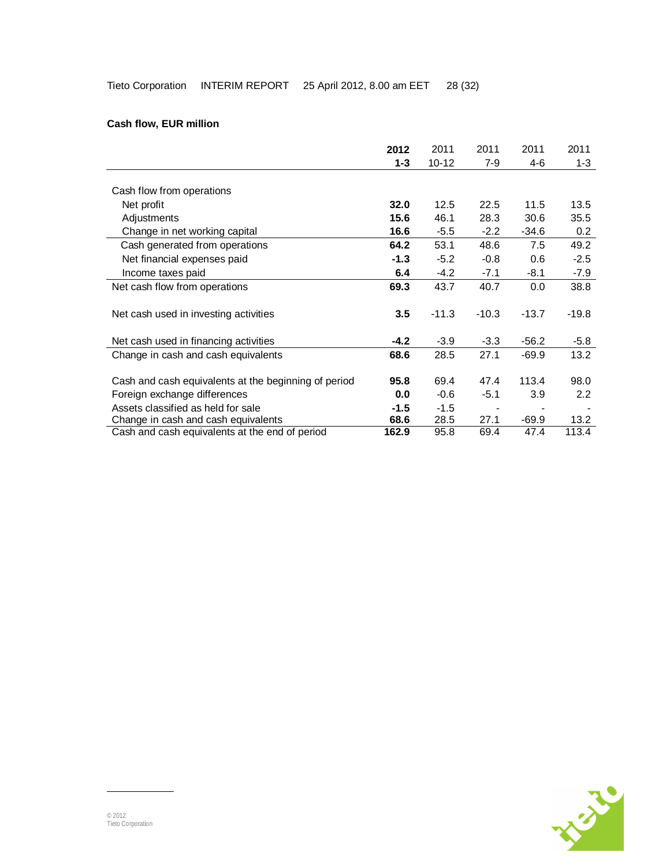## **Cash flow, EUR million**

|                                                      | 2012    | 2011      | 2011                     | 2011    | 2011             |
|------------------------------------------------------|---------|-----------|--------------------------|---------|------------------|
|                                                      | $1 - 3$ | $10 - 12$ | 7-9                      | 4-6     | $1 - 3$          |
|                                                      |         |           |                          |         |                  |
| Cash flow from operations                            |         |           |                          |         |                  |
| Net profit                                           | 32.0    | 12.5      | 22.5                     | 11.5    | 13.5             |
| Adjustments                                          | 15.6    | 46.1      | 28.3                     | 30.6    | 35.5             |
| Change in net working capital                        | 16.6    | $-5.5$    | $-2.2$                   | $-34.6$ | 0.2              |
| Cash generated from operations                       | 64.2    | 53.1      | 48.6                     | 7.5     | 49.2             |
| Net financial expenses paid                          | $-1.3$  | $-5.2$    | $-0.8$                   | 0.6     | $-2.5$           |
| Income taxes paid                                    | 6.4     | $-4.2$    | $-7.1$                   | $-8.1$  | $-7.9$           |
| Net cash flow from operations                        | 69.3    | 43.7      | 40.7                     | $0.0\,$ | 38.8             |
|                                                      |         |           |                          |         |                  |
| Net cash used in investing activities                | 3.5     | $-11.3$   | $-10.3$                  | $-13.7$ | $-19.8$          |
|                                                      |         |           |                          |         |                  |
| Net cash used in financing activities                | $-4.2$  | $-3.9$    | $-3.3$                   | $-56.2$ | $-5.8$           |
| Change in cash and cash equivalents                  | 68.6    | 28.5      | 27.1                     | $-69.9$ | 13.2             |
|                                                      |         |           |                          |         |                  |
| Cash and cash equivalents at the beginning of period | 95.8    | 69.4      | 47.4                     | 113.4   | 98.0             |
| Foreign exchange differences                         | 0.0     | $-0.6$    | $-5.1$                   | 3.9     | $2.2\phantom{0}$ |
| Assets classified as held for sale                   | $-1.5$  | $-1.5$    | $\overline{\phantom{a}}$ |         |                  |
| Change in cash and cash equivalents                  | 68.6    | 28.5      | 27.1                     | $-69.9$ | 13.2             |
| Cash and cash equivalents at the end of period       | 162.9   | 95.8      | 69.4                     | 47.4    | 113.4            |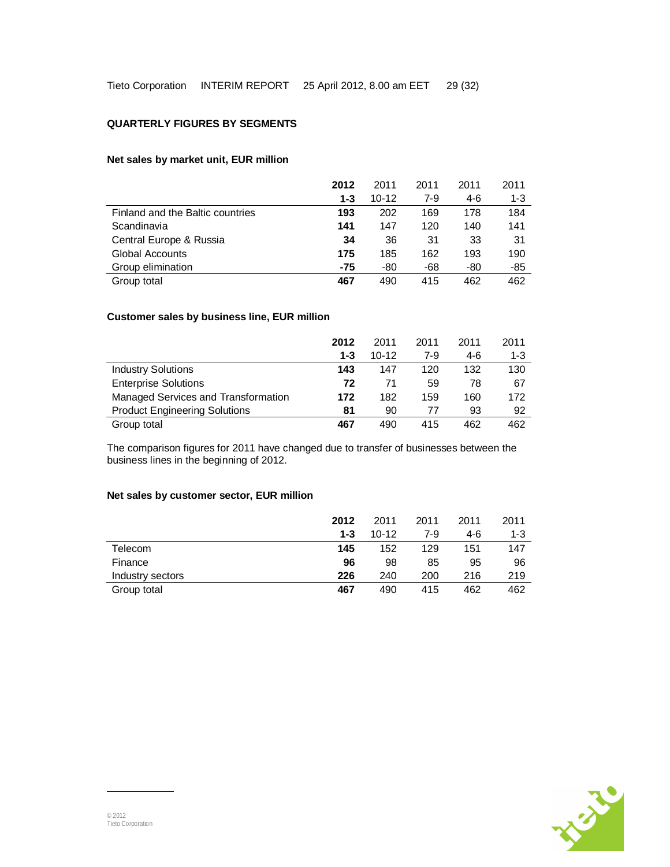#### **QUARTERLY FIGURES BY SEGMENTS**

### **Net sales by market unit, EUR million**

|                                  | 2012 | 2011      | 2011  | 2011 | 2011    |
|----------------------------------|------|-----------|-------|------|---------|
|                                  | 1-3  | $10 - 12$ | $7-9$ | 4-6  | $1 - 3$ |
| Finland and the Baltic countries | 193  | 202       | 169   | 178  | 184     |
| Scandinavia                      | 141  | 147       | 120   | 140  | 141     |
| Central Europe & Russia          | 34   | 36        | 31    | 33   | 31      |
| Global Accounts                  | 175  | 185       | 162   | 193  | 190     |
| Group elimination                | -75  | -80       | -68   | -80  | -85     |
| Group total                      | 467  | 490       | 415   | 462  | 462     |

### **Customer sales by business line, EUR million**

|                                      | 2012    | 2011      | 2011  | 2011 | 2011    |
|--------------------------------------|---------|-----------|-------|------|---------|
|                                      | $1 - 3$ | $10 - 12$ | $7-9$ | 4-6  | $1 - 3$ |
| <b>Industry Solutions</b>            | 143     | 147       | 120   | 132  | 130     |
| <b>Enterprise Solutions</b>          | 72      | 71        | 59    | 78   | 67      |
| Managed Services and Transformation  | 172     | 182       | 159   | 160  | 172     |
| <b>Product Engineering Solutions</b> | 81      | 90        | 77    | 93   | 92      |
| Group total                          | 467     | 490       | 415   | 462  | 462     |

The comparison figures for 2011 have changed due to transfer of businesses between the business lines in the beginning of 2012.

### **Net sales by customer sector, EUR million**

|                  | 2012    | 2011      | 2011 | 2011 | 2011    |
|------------------|---------|-----------|------|------|---------|
|                  | $1 - 3$ | $10 - 12$ | 7-9  | 4-6  | $1 - 3$ |
| Telecom          | 145     | 152       | 129  | 151  | 147     |
| Finance          | 96      | 98        | 85   | 95   | 96      |
| Industry sectors | 226     | 240       | 200  | 216  | 219     |
| Group total      | 467     | 490       | 415  | 462  | 462     |

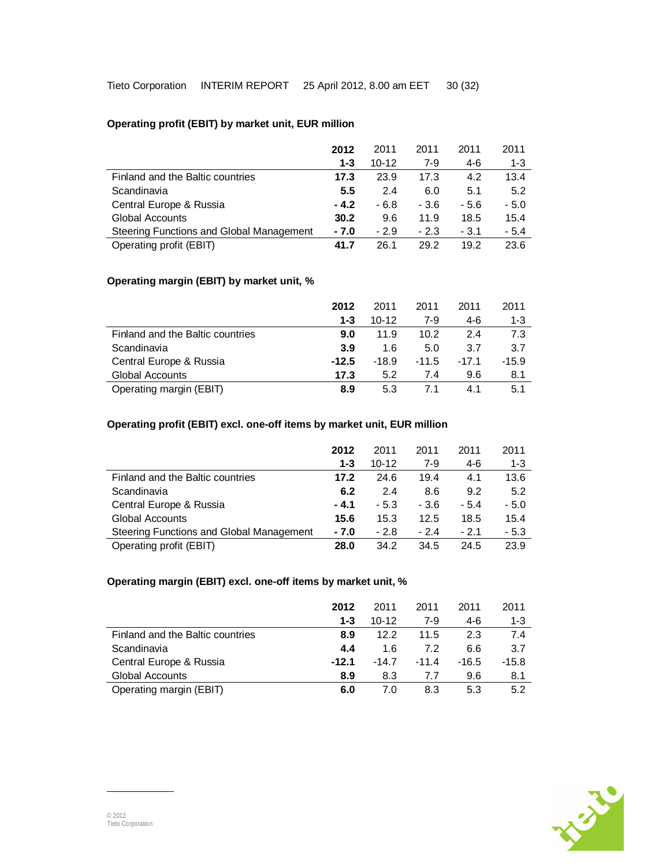## **Operating profit (EBIT) by market unit, EUR million**

|                                          | 2012    | 2011      | 2011   | 2011   | 2011    |
|------------------------------------------|---------|-----------|--------|--------|---------|
|                                          | $1 - 3$ | $10 - 12$ | $7-9$  | $4-6$  | $1 - 3$ |
| Finland and the Baltic countries         | 17.3    | 23.9      | 17.3   | 4.2    | 13.4    |
| Scandinavia                              | 5.5     | 2.4       | 6.0    | 5.1    | 5.2     |
| Central Europe & Russia                  | $-4.2$  | $-6.8$    | $-3.6$ | - 5.6  | $-5.0$  |
| <b>Global Accounts</b>                   | 30.2    | 9.6       | 11.9   | 18.5   | 15.4    |
| Steering Functions and Global Management | - 7.0   | $-2.9$    | $-2.3$ | $-3.1$ | $-5.4$  |
| Operating profit (EBIT)                  | 41.7    | 26.1      | 29.2   | 19.2   | 23.6    |

### **Operating margin (EBIT) by market unit, %**

|                                  | 2012    | 2011      | 2011    | 2011    | 2011    |
|----------------------------------|---------|-----------|---------|---------|---------|
|                                  | $1 - 3$ | $10 - 12$ | $7-9$   | 4-6     | $1 - 3$ |
| Finland and the Baltic countries | 9.0     | 11.9      | 10.2    | 24      | 7.3     |
| Scandinavia                      | 3.9     | 1.6       | 5.0     | 3.7     | 3.7     |
| Central Europe & Russia          | $-12.5$ | $-18.9$   | $-11.5$ | $-17.1$ | $-15.9$ |
| <b>Global Accounts</b>           | 17.3    | 5.2       | 7.4     | 9.6     | 8.1     |
| Operating margin (EBIT)          | 8.9     | 5.3       |         | 41      | 5.1     |

## **Operating profit (EBIT) excl. one-off items by market unit, EUR million**

|                                          | 2012    | 2011      | 2011   | 2011   | 2011    |
|------------------------------------------|---------|-----------|--------|--------|---------|
|                                          | $1 - 3$ | $10 - 12$ | $7-9$  | $4-6$  | $1 - 3$ |
| Finland and the Baltic countries         | 17.2    | 24.6      | 19.4   | 4.1    | 13.6    |
| Scandinavia                              | 6.2     | 2.4       | 8.6    | 9.2    | 5.2     |
| Central Europe & Russia                  | $-4.1$  | $-5.3$    | $-3.6$ | $-5.4$ | $-5.0$  |
| <b>Global Accounts</b>                   | 15.6    | 15.3      | 12.5   | 18.5   | 15.4    |
| Steering Functions and Global Management | $-7.0$  | $-2.8$    | $-2.4$ | $-2.1$ | $-5.3$  |
| Operating profit (EBIT)                  | 28.0    | 34.2      | 34.5   | 24.5   | 23.9    |

## **Operating margin (EBIT) excl. one-off items by market unit, %**

|                                  | 2012    | 2011      | 2011    | 2011    | 2011    |
|----------------------------------|---------|-----------|---------|---------|---------|
|                                  | $1 - 3$ | $10 - 12$ | $7-9$   | 4-6     | $1 - 3$ |
| Finland and the Baltic countries | 8.9     | 12.2      | 11.5    | 2.3     | 7.4     |
| Scandinavia                      | 4.4     | 1.6       | 7.2     | 6.6     | 3.7     |
| Central Europe & Russia          | $-12.1$ | $-14.7$   | $-11.4$ | $-16.5$ | $-15.8$ |
| <b>Global Accounts</b>           | 8.9     | 8.3       | 7.7     | 9.6     | 8.1     |
| Operating margin (EBIT)          | 6.0     | 7.0       | 8.3     | 5.3     | 5.2     |

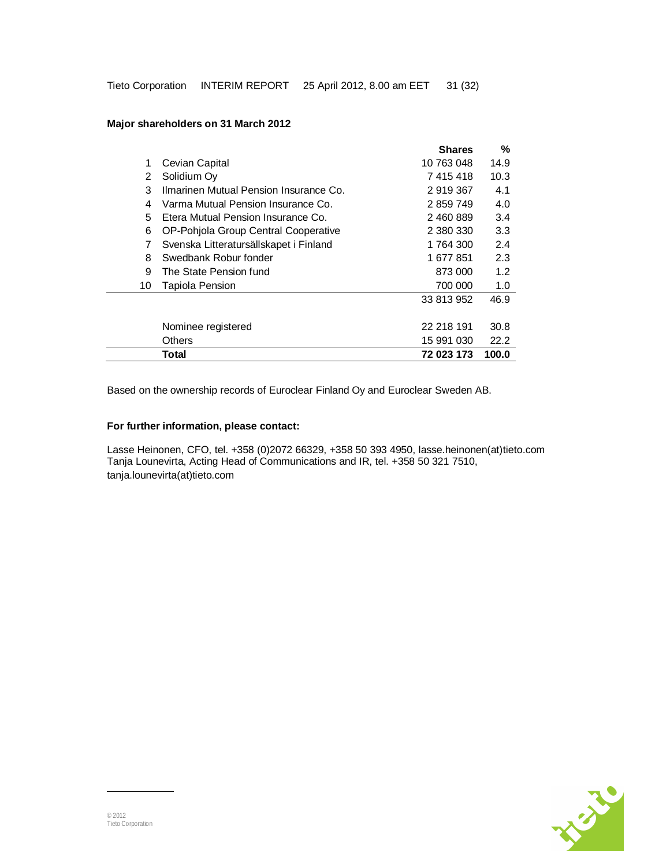|    |                                        | <b>Shares</b> | %     |
|----|----------------------------------------|---------------|-------|
| 1  | Cevian Capital                         | 10 763 048    | 14.9  |
| 2  | Solidium Oy                            | 7 415 418     | 10.3  |
| 3  | Ilmarinen Mutual Pension Insurance Co. | 2 919 367     | 4.1   |
| 4  | Varma Mutual Pension Insurance Co.     | 2 859 749     | 4.0   |
| 5  | Etera Mutual Pension Insurance Co.     | 2 460 889     | 3.4   |
| 6  | OP-Pohjola Group Central Cooperative   | 2 380 330     | 3.3   |
| 7  | Svenska Litteratursällskapet i Finland | 1 764 300     | 2.4   |
| 8  | Swedbank Robur fonder                  | 1 677 851     | 2.3   |
| 9  | The State Pension fund                 | 873 000       | 1.2   |
| 10 | Tapiola Pension                        | 700 000       | 1.0   |
|    |                                        | 33 813 952    | 46.9  |
|    | Nominee registered                     | 22 218 191    | 30.8  |
|    | Others                                 | 15 991 030    | 22.2  |
|    | Total                                  | 72 023 173    | 100.0 |

### **Major shareholders on 31 March 2012**

Based on the ownership records of Euroclear Finland Oy and Euroclear Sweden AB.

### **For further information, please contact:**

Lasse Heinonen, CFO, tel. +358 (0)2072 66329, +358 50 393 4950, lasse.heinonen(at)tieto.com Tanja Lounevirta, Acting Head of Communications and IR, tel. +358 50 321 7510, tanja.lounevirta(at)tieto.com